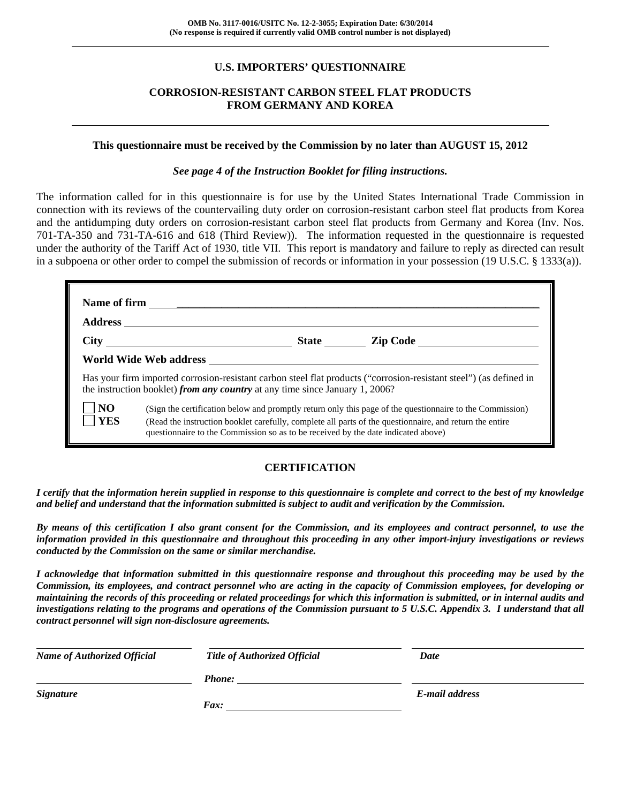### **U.S. IMPORTERS' QUESTIONNAIRE**

#### **CORROSION-RESISTANT CARBON STEEL FLAT PRODUCTS FROM GERMANY AND KOREA**

#### **This questionnaire must be received by the Commission by no later than AUGUST 15, 2012**

#### *See page 4 of the Instruction Booklet for filing instructions.*

The information called for in this questionnaire is for use by the United States International Trade Commission in connection with its reviews of the countervailing duty order on corrosion-resistant carbon steel flat products from Korea and the antidumping duty orders on corrosion-resistant carbon steel flat products from Germany and Korea (Inv. Nos. 701-TA-350 and 731-TA-616 and 618 (Third Review)). The information requested in the questionnaire is requested under the authority of the Tariff Act of 1930, title VII. This report is mandatory and failure to reply as directed can result in a subpoena or other order to compel the submission of records or information in your possession (19 U.S.C. § 1333(a)).

|                                                                                                                                                                                                                                                                                                                                          | the instruction booklet) from any country at any time since January 1, 2006? |  | Has your firm imported corrosion-resistant carbon steel flat products ("corrosion-resistant steel") (as defined in |  |  |
|------------------------------------------------------------------------------------------------------------------------------------------------------------------------------------------------------------------------------------------------------------------------------------------------------------------------------------------|------------------------------------------------------------------------------|--|--------------------------------------------------------------------------------------------------------------------|--|--|
| N <sub>O</sub><br>(Sign the certification below and promptly return only this page of the questionnaire to the Commission)<br><b>YES</b><br>(Read the instruction booklet carefully, complete all parts of the questionnaire, and return the entire<br>questionnaire to the Commission so as to be received by the date indicated above) |                                                                              |  |                                                                                                                    |  |  |

### **CERTIFICATION**

*I certify that the information herein supplied in response to this questionnaire is complete and correct to the best of my knowledge and belief and understand that the information submitted is subject to audit and verification by the Commission.* 

*By means of this certification I also grant consent for the Commission, and its employees and contract personnel, to use the information provided in this questionnaire and throughout this proceeding in any other import-injury investigations or reviews conducted by the Commission on the same or similar merchandise.* 

*I acknowledge that information submitted in this questionnaire response and throughout this proceeding may be used by the Commission, its employees, and contract personnel who are acting in the capacity of Commission employees, for developing or maintaining the records of this proceeding or related proceedings for which this information is submitted, or in internal audits and investigations relating to the programs and operations of the Commission pursuant to 5 U.S.C. Appendix 3. I understand that all contract personnel will sign non-disclosure agreements.* 

| <b>Name of Authorized Official</b> | Title of Authorized Official | Date           |  |
|------------------------------------|------------------------------|----------------|--|
|                                    | <b>Phone:</b>                |                |  |
| <b>Signature</b>                   |                              | E-mail address |  |
|                                    | Fax:                         |                |  |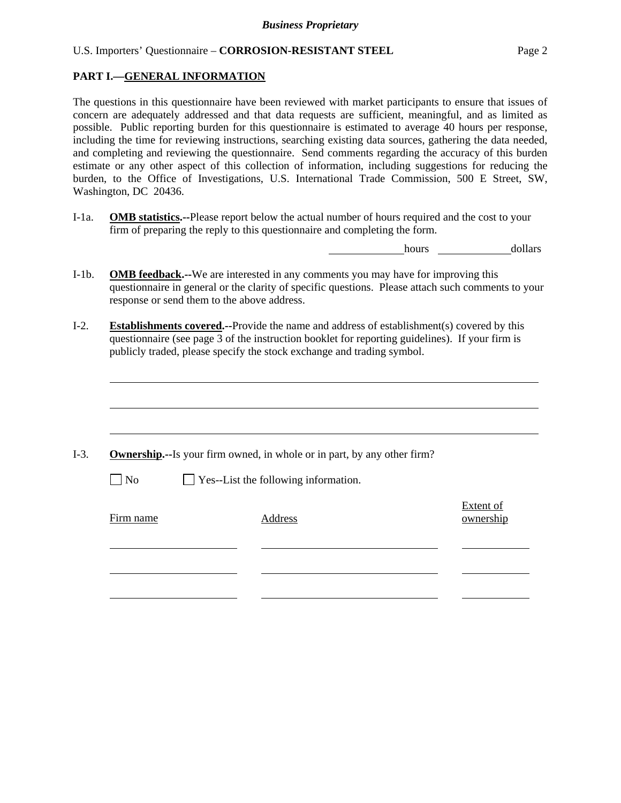#### **PART I.—GENERAL INFORMATION**

l

The questions in this questionnaire have been reviewed with market participants to ensure that issues of concern are adequately addressed and that data requests are sufficient, meaningful, and as limited as possible. Public reporting burden for this questionnaire is estimated to average 40 hours per response, including the time for reviewing instructions, searching existing data sources, gathering the data needed, and completing and reviewing the questionnaire. Send comments regarding the accuracy of this burden estimate or any other aspect of this collection of information, including suggestions for reducing the burden, to the Office of Investigations, U.S. International Trade Commission, 500 E Street, SW, Washington, DC 20436.

I-1a. **OMB statistics.--**Please report below the actual number of hours required and the cost to your firm of preparing the reply to this questionnaire and completing the form.

hours dollars

- I-1b. **OMB feedback.--**We are interested in any comments you may have for improving this questionnaire in general or the clarity of specific questions. Please attach such comments to your response or send them to the above address.
- I-2. **Establishments covered.--**Provide the name and address of establishment(s) covered by this questionnaire (see page 3 of the instruction booklet for reporting guidelines). If your firm is publicly traded, please specify the stock exchange and trading symbol.

|                   | <b>Ownership.</b> --Is your firm owned, in whole or in part, by any other firm? |                               |
|-------------------|---------------------------------------------------------------------------------|-------------------------------|
| $\blacksquare$ No | $\Box$ Yes--List the following information.                                     |                               |
| Firm name         | Address                                                                         | <b>Extent of</b><br>ownership |
|                   |                                                                                 |                               |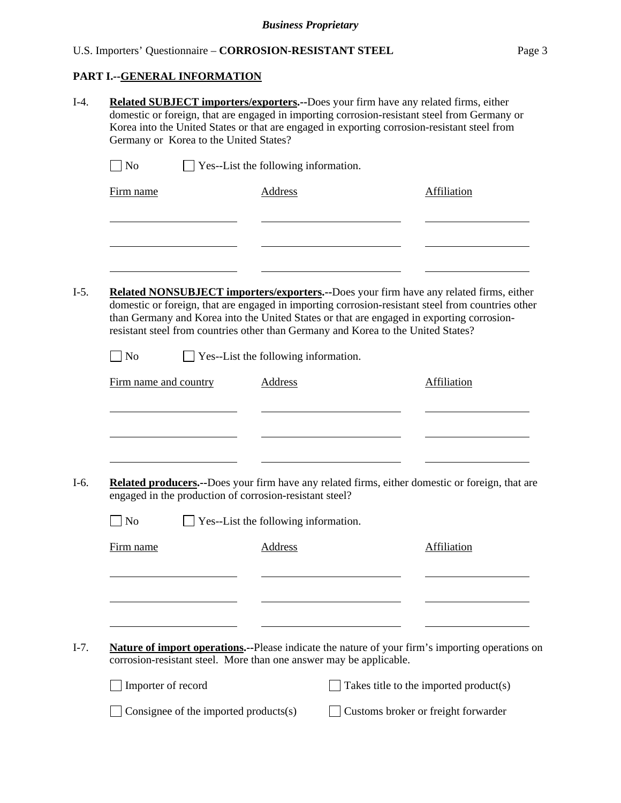# **PART I.--GENERAL INFORMATION**

|                       | <b>Related SUBJECT importers/exporters.--Does your firm have any related firms, either</b><br>domestic or foreign, that are engaged in importing corrosion-resistant steel from Germany or<br>Korea into the United States or that are engaged in exporting corrosion-resistant steel from<br>Germany or Korea to the United States? |                                      |                                                                                   |                                                                                                                                                                                                                                                                                          |  |  |  |
|-----------------------|--------------------------------------------------------------------------------------------------------------------------------------------------------------------------------------------------------------------------------------------------------------------------------------------------------------------------------------|--------------------------------------|-----------------------------------------------------------------------------------|------------------------------------------------------------------------------------------------------------------------------------------------------------------------------------------------------------------------------------------------------------------------------------------|--|--|--|
| N <sub>o</sub>        |                                                                                                                                                                                                                                                                                                                                      | Yes--List the following information. |                                                                                   |                                                                                                                                                                                                                                                                                          |  |  |  |
| Firm name             |                                                                                                                                                                                                                                                                                                                                      | <b>Address</b>                       |                                                                                   | Affiliation                                                                                                                                                                                                                                                                              |  |  |  |
|                       |                                                                                                                                                                                                                                                                                                                                      |                                      |                                                                                   |                                                                                                                                                                                                                                                                                          |  |  |  |
|                       |                                                                                                                                                                                                                                                                                                                                      |                                      | resistant steel from countries other than Germany and Korea to the United States? | Related NONSUBJECT importers/exporters.--Does your firm have any related firms, either<br>domestic or foreign, that are engaged in importing corrosion-resistant steel from countries other<br>than Germany and Korea into the United States or that are engaged in exporting corrosion- |  |  |  |
| <b>No</b>             |                                                                                                                                                                                                                                                                                                                                      | Yes--List the following information. |                                                                                   |                                                                                                                                                                                                                                                                                          |  |  |  |
| Firm name and country |                                                                                                                                                                                                                                                                                                                                      | <b>Address</b>                       |                                                                                   | <b>Affiliation</b>                                                                                                                                                                                                                                                                       |  |  |  |
|                       | engaged in the production of corrosion-resistant steel?                                                                                                                                                                                                                                                                              |                                      |                                                                                   | Related producers.--Does your firm have any related firms, either domestic or foreign, that are                                                                                                                                                                                          |  |  |  |
| No                    |                                                                                                                                                                                                                                                                                                                                      | Yes--List the following information. |                                                                                   |                                                                                                                                                                                                                                                                                          |  |  |  |
| Firm name             |                                                                                                                                                                                                                                                                                                                                      | <b>Address</b>                       |                                                                                   | Affiliation                                                                                                                                                                                                                                                                              |  |  |  |
|                       |                                                                                                                                                                                                                                                                                                                                      |                                      |                                                                                   | <b>Nature of import operations.</b> --Please indicate the nature of your firm's importing operations on                                                                                                                                                                                  |  |  |  |
|                       |                                                                                                                                                                                                                                                                                                                                      |                                      | corrosion-resistant steel. More than one answer may be applicable.                |                                                                                                                                                                                                                                                                                          |  |  |  |
|                       | Importer of record                                                                                                                                                                                                                                                                                                                   |                                      |                                                                                   | Takes title to the imported product(s)                                                                                                                                                                                                                                                   |  |  |  |
|                       |                                                                                                                                                                                                                                                                                                                                      |                                      |                                                                                   |                                                                                                                                                                                                                                                                                          |  |  |  |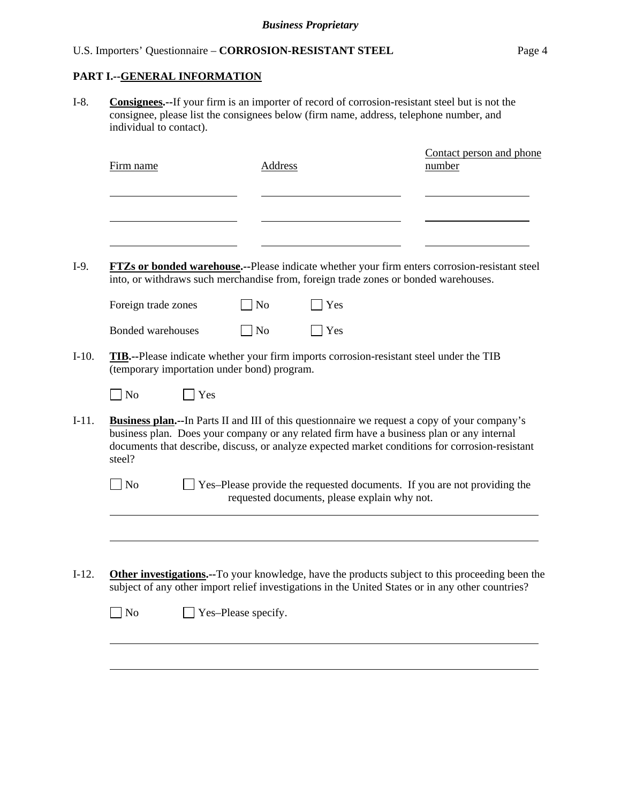### **PART I.--GENERAL INFORMATION**

I-8. **Consignees.--**If your firm is an importer of record of corrosion-resistant steel but is not the consignee, please list the consignees below (firm name, address, telephone number, and individual to contact).

| Firm name                                   | Address        |                                              | Contact person and phone<br>number                                                                                                                                                                                                                                                                    |
|---------------------------------------------|----------------|----------------------------------------------|-------------------------------------------------------------------------------------------------------------------------------------------------------------------------------------------------------------------------------------------------------------------------------------------------------|
|                                             |                |                                              |                                                                                                                                                                                                                                                                                                       |
|                                             |                |                                              | FTZs or bonded warehouse.--Please indicate whether your firm enters corrosion-resistant steel<br>into, or withdraws such merchandise from, foreign trade zones or bonded warehouses.                                                                                                                  |
| Foreign trade zones                         | N <sub>o</sub> | Yes                                          |                                                                                                                                                                                                                                                                                                       |
| Bonded warehouses                           | $\Box$ No      | Yes                                          |                                                                                                                                                                                                                                                                                                       |
| (temporary importation under bond) program. |                |                                              | TIB.--Please indicate whether your firm imports corrosion-resistant steel under the TIB                                                                                                                                                                                                               |
| $\Box$ No                                   | Yes            |                                              |                                                                                                                                                                                                                                                                                                       |
| steel?                                      |                |                                              | <b>Business plan.</b> --In Parts II and III of this questionnaire we request a copy of your company's<br>business plan. Does your company or any related firm have a business plan or any internal<br>documents that describe, discuss, or analyze expected market conditions for corrosion-resistant |
| N <sub>o</sub>                              |                | requested documents, please explain why not. | Yes-Please provide the requested documents. If you are not providing the                                                                                                                                                                                                                              |
|                                             |                |                                              |                                                                                                                                                                                                                                                                                                       |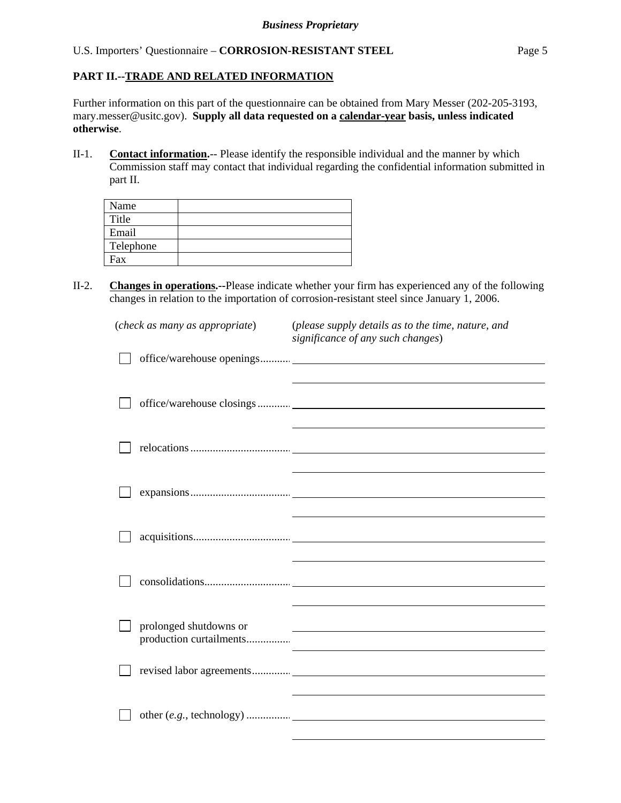# **PART II.--TRADE AND RELATED INFORMATION**

Further information on this part of the questionnaire can be obtained from Mary Messer (202-205-3193, mary.messer@usitc.gov). **Supply all data requested on a calendar-year basis, unless indicated otherwise**.

II-1. **Contact information.**-- Please identify the responsible individual and the manner by which Commission staff may contact that individual regarding the confidential information submitted in part II.

| Name      |  |
|-----------|--|
| Title     |  |
| Email     |  |
| Telephone |  |
| Fax       |  |

II-2. **Changes in operations.--**Please indicate whether your firm has experienced any of the following changes in relation to the importation of corrosion-resistant steel since January 1, 2006.

| (check as many as appropriate)                    | (please supply details as to the time, nature, and<br>significance of any such changes) |
|---------------------------------------------------|-----------------------------------------------------------------------------------------|
|                                                   |                                                                                         |
|                                                   |                                                                                         |
|                                                   |                                                                                         |
|                                                   |                                                                                         |
|                                                   |                                                                                         |
|                                                   |                                                                                         |
| prolonged shutdowns or<br>production curtailments |                                                                                         |
|                                                   |                                                                                         |
|                                                   |                                                                                         |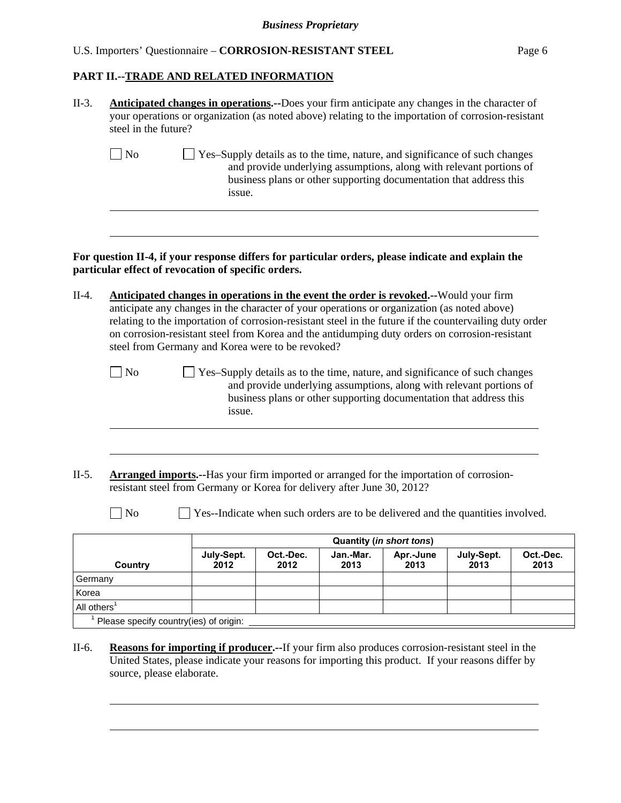### **PART II.--TRADE AND RELATED INFORMATION**

| $II-3.$                            | <b>Anticipated changes in operations.</b> --Does your firm anticipate any changes in the character of<br>your operations or organization (as noted above) relating to the importation of corrosion-resistant<br>steel in the future? |                                                                                                                                                                                                                                                                                                                                                                                                                                                               |           |           |                          |                                                                                                                                                                                                                          |           |  |  |
|------------------------------------|--------------------------------------------------------------------------------------------------------------------------------------------------------------------------------------------------------------------------------------|---------------------------------------------------------------------------------------------------------------------------------------------------------------------------------------------------------------------------------------------------------------------------------------------------------------------------------------------------------------------------------------------------------------------------------------------------------------|-----------|-----------|--------------------------|--------------------------------------------------------------------------------------------------------------------------------------------------------------------------------------------------------------------------|-----------|--|--|
|                                    | $\Box$ No                                                                                                                                                                                                                            | issue.                                                                                                                                                                                                                                                                                                                                                                                                                                                        |           |           |                          | Yes-Supply details as to the time, nature, and significance of such changes<br>and provide underlying assumptions, along with relevant portions of<br>business plans or other supporting documentation that address this |           |  |  |
|                                    | For question II-4, if your response differs for particular orders, please indicate and explain the<br>particular effect of revocation of specific orders.                                                                            |                                                                                                                                                                                                                                                                                                                                                                                                                                                               |           |           |                          |                                                                                                                                                                                                                          |           |  |  |
| $II-4.$                            |                                                                                                                                                                                                                                      | <b>Anticipated changes in operations in the event the order is revoked.</b> --Would your firm<br>anticipate any changes in the character of your operations or organization (as noted above)<br>relating to the importation of corrosion-resistant steel in the future if the countervailing duty order<br>on corrosion-resistant steel from Korea and the antidumping duty orders on corrosion-resistant<br>steel from Germany and Korea were to be revoked? |           |           |                          |                                                                                                                                                                                                                          |           |  |  |
|                                    | $\Box$ No                                                                                                                                                                                                                            | issue.                                                                                                                                                                                                                                                                                                                                                                                                                                                        |           |           |                          | Yes-Supply details as to the time, nature, and significance of such changes<br>and provide underlying assumptions, along with relevant portions of<br>business plans or other supporting documentation that address this |           |  |  |
| $II-5.$                            |                                                                                                                                                                                                                                      | <b>Arranged imports.</b> --Has your firm imported or arranged for the importation of corrosion-<br>resistant steel from Germany or Korea for delivery after June 30, 2012?                                                                                                                                                                                                                                                                                    |           |           |                          |                                                                                                                                                                                                                          |           |  |  |
|                                    | $\big $ No                                                                                                                                                                                                                           |                                                                                                                                                                                                                                                                                                                                                                                                                                                               |           |           |                          | Yes--Indicate when such orders are to be delivered and the quantities involved.                                                                                                                                          |           |  |  |
|                                    |                                                                                                                                                                                                                                      |                                                                                                                                                                                                                                                                                                                                                                                                                                                               |           |           | Quantity (in short tons) |                                                                                                                                                                                                                          |           |  |  |
|                                    |                                                                                                                                                                                                                                      | July-Sept.                                                                                                                                                                                                                                                                                                                                                                                                                                                    | Oct.-Dec. | Jan.-Mar. | Apr.-June                | July-Sept.                                                                                                                                                                                                               | Oct.-Dec. |  |  |
|                                    | Country                                                                                                                                                                                                                              | 2012                                                                                                                                                                                                                                                                                                                                                                                                                                                          | 2012      | 2013      | 2013                     | 2013                                                                                                                                                                                                                     | 2013      |  |  |
| Germany                            |                                                                                                                                                                                                                                      |                                                                                                                                                                                                                                                                                                                                                                                                                                                               |           |           |                          |                                                                                                                                                                                                                          |           |  |  |
| Korea<br>All others $\overline{1}$ |                                                                                                                                                                                                                                      |                                                                                                                                                                                                                                                                                                                                                                                                                                                               |           |           |                          |                                                                                                                                                                                                                          |           |  |  |

United States, please indicate your reasons for importing this product. If your reasons differ by source, please elaborate.

l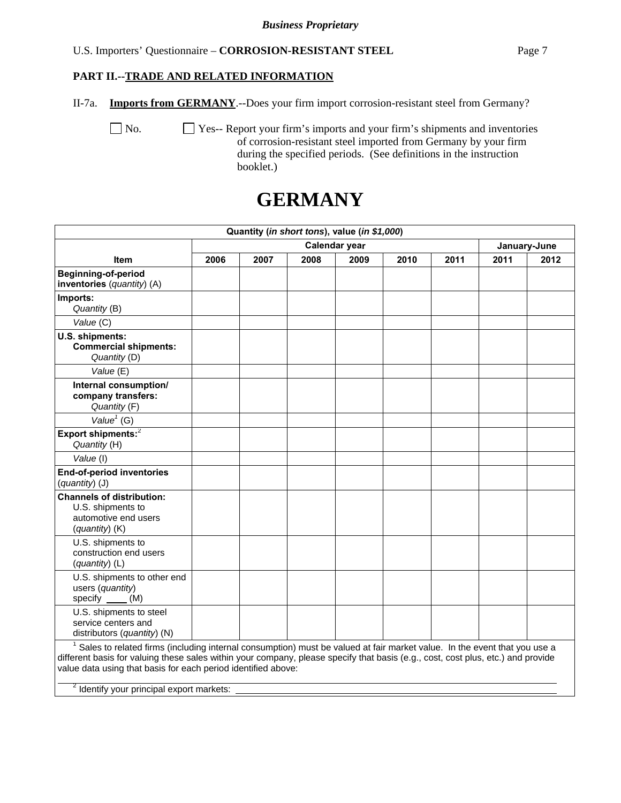#### **PART II.--TRADE AND RELATED INFORMATION**

II-7a. **Imports from GERMANY**.--Does your firm import corrosion-resistant steel from Germany?

 No. Yes-- Report your firm's imports and your firm's shipments and inventories of corrosion-resistant steel imported from Germany by your firm during the specified periods. (See definitions in the instruction booklet.)

# **GERMANY**

| Quantity (in short tons), value (in \$1,000)                                                                                                                                                                                                                                                                                               |      |      |      |               |      |      |      |              |
|--------------------------------------------------------------------------------------------------------------------------------------------------------------------------------------------------------------------------------------------------------------------------------------------------------------------------------------------|------|------|------|---------------|------|------|------|--------------|
|                                                                                                                                                                                                                                                                                                                                            |      |      |      | Calendar year |      |      |      | January-June |
| <b>Item</b>                                                                                                                                                                                                                                                                                                                                | 2006 | 2007 | 2008 | 2009          | 2010 | 2011 | 2011 | 2012         |
| <b>Beginning-of-period</b><br>inventories (quantity) (A)                                                                                                                                                                                                                                                                                   |      |      |      |               |      |      |      |              |
| Imports:<br>Quantity (B)                                                                                                                                                                                                                                                                                                                   |      |      |      |               |      |      |      |              |
| Value (C)                                                                                                                                                                                                                                                                                                                                  |      |      |      |               |      |      |      |              |
| U.S. shipments:<br><b>Commercial shipments:</b><br>Quantity (D)                                                                                                                                                                                                                                                                            |      |      |      |               |      |      |      |              |
| Value (E)                                                                                                                                                                                                                                                                                                                                  |      |      |      |               |      |      |      |              |
| Internal consumption/<br>company transfers:<br>Quantity (F)                                                                                                                                                                                                                                                                                |      |      |      |               |      |      |      |              |
| Value $1$ (G)                                                                                                                                                                                                                                                                                                                              |      |      |      |               |      |      |      |              |
| Export shipments: <sup>2</sup><br>Quantity (H)                                                                                                                                                                                                                                                                                             |      |      |      |               |      |      |      |              |
| Value (I)                                                                                                                                                                                                                                                                                                                                  |      |      |      |               |      |      |      |              |
| <b>End-of-period inventories</b><br>(quantity) (J)                                                                                                                                                                                                                                                                                         |      |      |      |               |      |      |      |              |
| <b>Channels of distribution:</b><br>U.S. shipments to<br>automotive end users<br>(quantity) (K)                                                                                                                                                                                                                                            |      |      |      |               |      |      |      |              |
| U.S. shipments to<br>construction end users<br>(quantity) (L)                                                                                                                                                                                                                                                                              |      |      |      |               |      |      |      |              |
| U.S. shipments to other end<br>users (quantity)<br>specify (M)                                                                                                                                                                                                                                                                             |      |      |      |               |      |      |      |              |
| U.S. shipments to steel<br>service centers and<br>distributors (quantity) (N)                                                                                                                                                                                                                                                              |      |      |      |               |      |      |      |              |
| <sup>1</sup> Sales to related firms (including internal consumption) must be valued at fair market value. In the event that you use a<br>different basis for valuing these sales within your company, please specify that basis (e.g., cost, cost plus, etc.) and provide<br>value data using that basis for each period identified above: |      |      |      |               |      |      |      |              |
| <sup>2</sup> Identify your principal export markets:                                                                                                                                                                                                                                                                                       |      |      |      |               |      |      |      |              |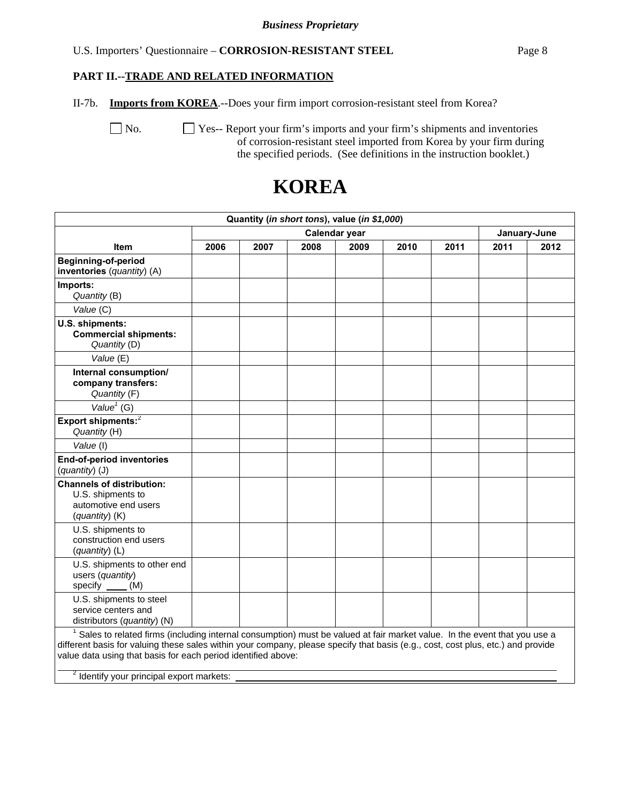### **PART II.--TRADE AND RELATED INFORMATION**

II-7b. **Imports from KOREA**.--Does your firm import corrosion-resistant steel from Korea?

 No. Yes-- Report your firm's imports and your firm's shipments and inventories of corrosion-resistant steel imported from Korea by your firm during the specified periods. (See definitions in the instruction booklet.)

| Quantity (in short tons), value (in \$1,000)                                                                                                                                                                                                                                                                                  |      |      |      |               |      |      |      |              |
|-------------------------------------------------------------------------------------------------------------------------------------------------------------------------------------------------------------------------------------------------------------------------------------------------------------------------------|------|------|------|---------------|------|------|------|--------------|
|                                                                                                                                                                                                                                                                                                                               |      |      |      | Calendar year |      |      |      | January-June |
| <b>Item</b>                                                                                                                                                                                                                                                                                                                   | 2006 | 2007 | 2008 | 2009          | 2010 | 2011 | 2011 | 2012         |
| <b>Beginning-of-period</b><br>inventories (quantity) (A)                                                                                                                                                                                                                                                                      |      |      |      |               |      |      |      |              |
| Imports:<br>Quantity (B)                                                                                                                                                                                                                                                                                                      |      |      |      |               |      |      |      |              |
| Value (C)                                                                                                                                                                                                                                                                                                                     |      |      |      |               |      |      |      |              |
| U.S. shipments:<br><b>Commercial shipments:</b><br>Quantity (D)                                                                                                                                                                                                                                                               |      |      |      |               |      |      |      |              |
| Value (E)                                                                                                                                                                                                                                                                                                                     |      |      |      |               |      |      |      |              |
| Internal consumption/<br>company transfers:<br>Quantity (F)                                                                                                                                                                                                                                                                   |      |      |      |               |      |      |      |              |
| Value <sup><math>1</math></sup> (G)                                                                                                                                                                                                                                                                                           |      |      |      |               |      |      |      |              |
| Export shipments: <sup>2</sup><br>Quantity (H)                                                                                                                                                                                                                                                                                |      |      |      |               |      |      |      |              |
| Value (I)                                                                                                                                                                                                                                                                                                                     |      |      |      |               |      |      |      |              |
| End-of-period inventories<br>(quantity) (J)                                                                                                                                                                                                                                                                                   |      |      |      |               |      |      |      |              |
| <b>Channels of distribution:</b><br>U.S. shipments to<br>automotive end users<br>$(quantity)$ (K)                                                                                                                                                                                                                             |      |      |      |               |      |      |      |              |
| U.S. shipments to<br>construction end users<br>(quantity) (L)                                                                                                                                                                                                                                                                 |      |      |      |               |      |      |      |              |
| U.S. shipments to other end<br>users (quantity)<br>specify $\underline{\hspace{1cm}}$ (M)                                                                                                                                                                                                                                     |      |      |      |               |      |      |      |              |
| U.S. shipments to steel<br>service centers and<br>distributors (quantity) (N)                                                                                                                                                                                                                                                 |      |      |      |               |      |      |      |              |
| Sales to related firms (including internal consumption) must be valued at fair market value. In the event that you use a<br>different basis for valuing these sales within your company, please specify that basis (e.g., cost, cost plus, etc.) and provide<br>value data using that basis for each period identified above: |      |      |      |               |      |      |      |              |

# **KOREA**

<sup>2</sup> Identify your principal export markets: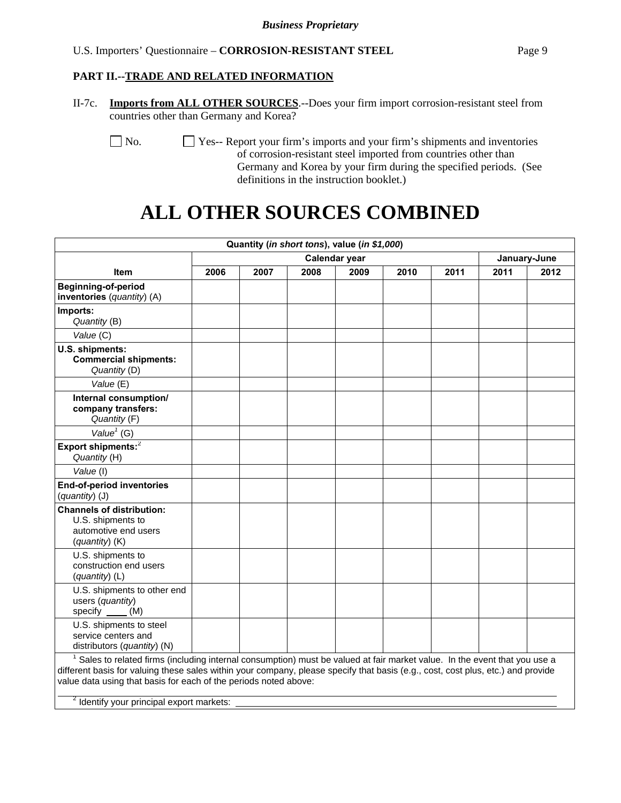### **PART II.--TRADE AND RELATED INFORMATION**

II-7c. **Imports from ALL OTHER SOURCES**.--Does your firm import corrosion-resistant steel from countries other than Germany and Korea?

 No. Yes-- Report your firm's imports and your firm's shipments and inventories of corrosion-resistant steel imported from countries other than Germany and Korea by your firm during the specified periods. (See definitions in the instruction booklet.)

# **ALL OTHER SOURCES COMBINED**

|                                                                                                                                                                                                                                                                                                                                                                                                       |                      |      | Quantity (in short tons), value (in \$1,000) |      |      |      |              |      |
|-------------------------------------------------------------------------------------------------------------------------------------------------------------------------------------------------------------------------------------------------------------------------------------------------------------------------------------------------------------------------------------------------------|----------------------|------|----------------------------------------------|------|------|------|--------------|------|
|                                                                                                                                                                                                                                                                                                                                                                                                       | <b>Calendar year</b> |      |                                              |      |      |      | January-June |      |
| <b>Item</b>                                                                                                                                                                                                                                                                                                                                                                                           | 2006                 | 2007 | 2008                                         | 2009 | 2010 | 2011 | 2011         | 2012 |
| Beginning-of-period<br>inventories (quantity) (A)                                                                                                                                                                                                                                                                                                                                                     |                      |      |                                              |      |      |      |              |      |
| Imports:<br>Quantity (B)                                                                                                                                                                                                                                                                                                                                                                              |                      |      |                                              |      |      |      |              |      |
| Value (C)                                                                                                                                                                                                                                                                                                                                                                                             |                      |      |                                              |      |      |      |              |      |
| U.S. shipments:<br><b>Commercial shipments:</b><br>Quantity (D)                                                                                                                                                                                                                                                                                                                                       |                      |      |                                              |      |      |      |              |      |
| Value (E)                                                                                                                                                                                                                                                                                                                                                                                             |                      |      |                                              |      |      |      |              |      |
| Internal consumption/<br>company transfers:<br>Quantity (F)                                                                                                                                                                                                                                                                                                                                           |                      |      |                                              |      |      |      |              |      |
| Value $1$ (G)                                                                                                                                                                                                                                                                                                                                                                                         |                      |      |                                              |      |      |      |              |      |
| Export shipments: $2$<br>Quantity (H)                                                                                                                                                                                                                                                                                                                                                                 |                      |      |                                              |      |      |      |              |      |
| Value (I)                                                                                                                                                                                                                                                                                                                                                                                             |                      |      |                                              |      |      |      |              |      |
| <b>End-of-period inventories</b><br>(quantity) (J)                                                                                                                                                                                                                                                                                                                                                    |                      |      |                                              |      |      |      |              |      |
| <b>Channels of distribution:</b><br>U.S. shipments to<br>automotive end users<br>(quantity) (K)                                                                                                                                                                                                                                                                                                       |                      |      |                                              |      |      |      |              |      |
| U.S. shipments to<br>construction end users<br>(quantity) (L)                                                                                                                                                                                                                                                                                                                                         |                      |      |                                              |      |      |      |              |      |
| U.S. shipments to other end<br>users (quantity)<br>specify $\underline{\hspace{1cm}}$ (M)                                                                                                                                                                                                                                                                                                             |                      |      |                                              |      |      |      |              |      |
| U.S. shipments to steel<br>service centers and<br>distributors (quantity) (N)                                                                                                                                                                                                                                                                                                                         |                      |      |                                              |      |      |      |              |      |
| <sup>1</sup> Sales to related firms (including internal consumption) must be valued at fair market value. In the event that you use a<br>different basis for valuing these sales within your company, please specify that basis (e.g., cost, cost plus, etc.) and provide<br>value data using that basis for each of the periods noted above:<br><sup>2</sup> Identify your principal export markets: |                      |      |                                              |      |      |      |              |      |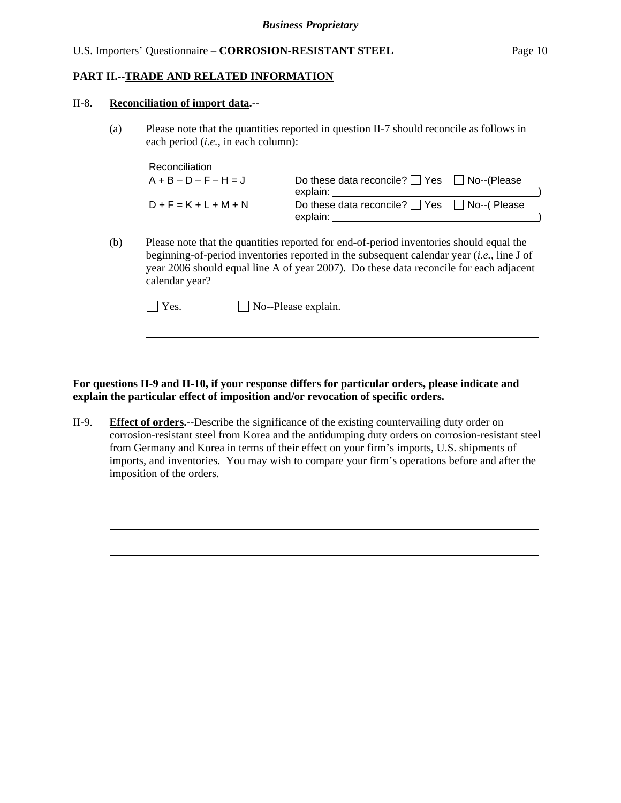#### **PART II.--TRADE AND RELATED INFORMATION**

#### II-8. **Reconciliation of import data.--**

l

l

(a) Please note that the quantities reported in question II-7 should reconcile as follows in each period (*i.e.*, in each column):

| Reconciliation          |                                                        |  |
|-------------------------|--------------------------------------------------------|--|
| $A + B - D - F - H = J$ | Do these data reconcile? $\Box$ Yes $\Box$ No--(Please |  |
|                         | explain:                                               |  |
| $D + F = K + L + M + N$ | Do these data reconcile? $\Box$ Yes $\Box$ No--(Please |  |
|                         | explain:                                               |  |

(b) Please note that the quantities reported for end-of-period inventories should equal the beginning-of-period inventories reported in the subsequent calendar year (*i.e.*, line J of year 2006 should equal line A of year 2007). Do these data reconcile for each adjacent calendar year?

| $\Box$ Yes. | $\Box$ No--Please explain. |
|-------------|----------------------------|
|-------------|----------------------------|

**For questions II-9 and II-10, if your response differs for particular orders, please indicate and explain the particular effect of imposition and/or revocation of specific orders.**

II-9. **Effect of orders.--**Describe the significance of the existing countervailing duty order on corrosion-resistant steel from Korea and the antidumping duty orders on corrosion-resistant steel from Germany and Korea in terms of their effect on your firm's imports, U.S. shipments of imports, and inventories. You may wish to compare your firm's operations before and after the imposition of the orders.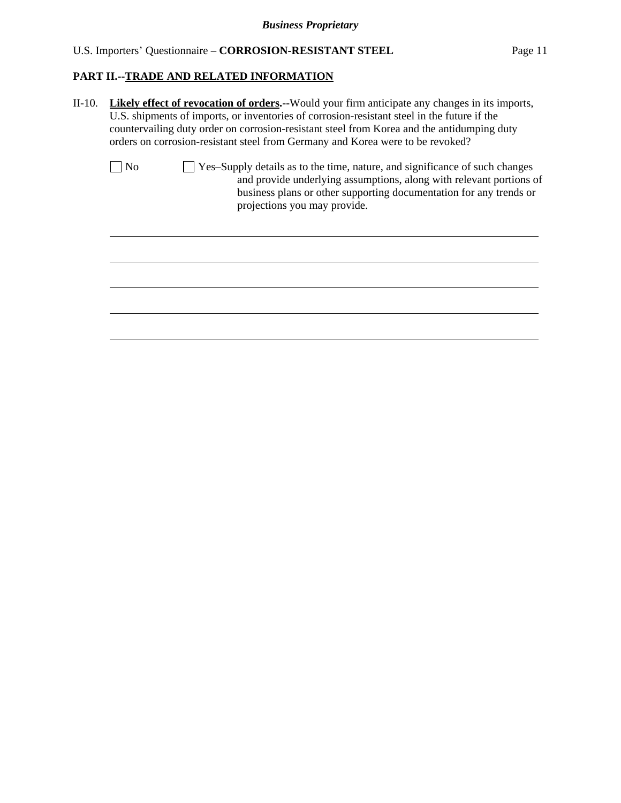# **PART II.--TRADE AND RELATED INFORMATION**

|                | countervailing duty order on corrosion-resistant steel from Korea and the antidumping duty<br>orders on corrosion-resistant steel from Germany and Korea were to be revoked?                                                                               |
|----------------|------------------------------------------------------------------------------------------------------------------------------------------------------------------------------------------------------------------------------------------------------------|
| N <sub>o</sub> | □ Yes-Supply details as to the time, nature, and significance of such changes<br>and provide underlying assumptions, along with relevant portions of<br>business plans or other supporting documentation for any trends or<br>projections you may provide. |
|                |                                                                                                                                                                                                                                                            |
|                |                                                                                                                                                                                                                                                            |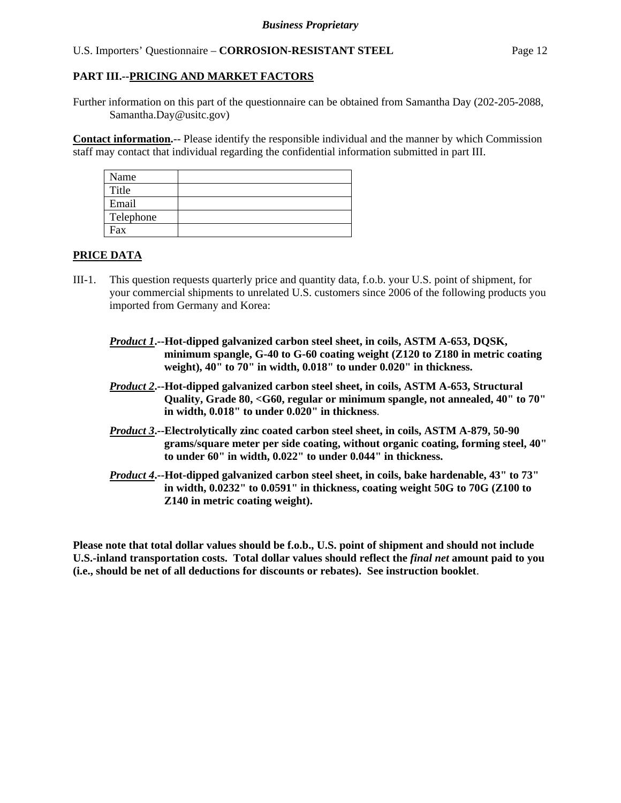Further information on this part of the questionnaire can be obtained from Samantha Day (202-205-2088, Samantha.Day@usitc.gov)

**Contact information.**-- Please identify the responsible individual and the manner by which Commission staff may contact that individual regarding the confidential information submitted in part III.

| Name      |  |
|-----------|--|
| Title     |  |
| Email     |  |
| Telephone |  |
| Fax       |  |

#### **PRICE DATA**

- III-1. This question requests quarterly price and quantity data, f.o.b. your U.S. point of shipment, for your commercial shipments to unrelated U.S. customers since 2006 of the following products you imported from Germany and Korea:
	- *Product 1***.--Hot-dipped galvanized carbon steel sheet, in coils, ASTM A-653, DQSK, minimum spangle, G-40 to G-60 coating weight (Z120 to Z180 in metric coating weight), 40" to 70" in width, 0.018" to under 0.020" in thickness.**
	- *Product 2***.--Hot-dipped galvanized carbon steel sheet, in coils, ASTM A-653, Structural Quality, Grade 80, <G60, regular or minimum spangle, not annealed, 40" to 70" in width, 0.018" to under 0.020" in thickness**.
	- *Product 3***.--Electrolytically zinc coated carbon steel sheet, in coils, ASTM A-879, 50-90 grams/square meter per side coating, without organic coating, forming steel, 40" to under 60" in width, 0.022" to under 0.044" in thickness.**
	- *Product 4***.--Hot-dipped galvanized carbon steel sheet, in coils, bake hardenable, 43" to 73" in width, 0.0232" to 0.0591" in thickness, coating weight 50G to 70G (Z100 to Z140 in metric coating weight).**

**Please note that total dollar values should be f.o.b., U.S. point of shipment and should not include U.S.-inland transportation costs. Total dollar values should reflect the** *final net* **amount paid to you (i.e., should be net of all deductions for discounts or rebates). See instruction booklet**.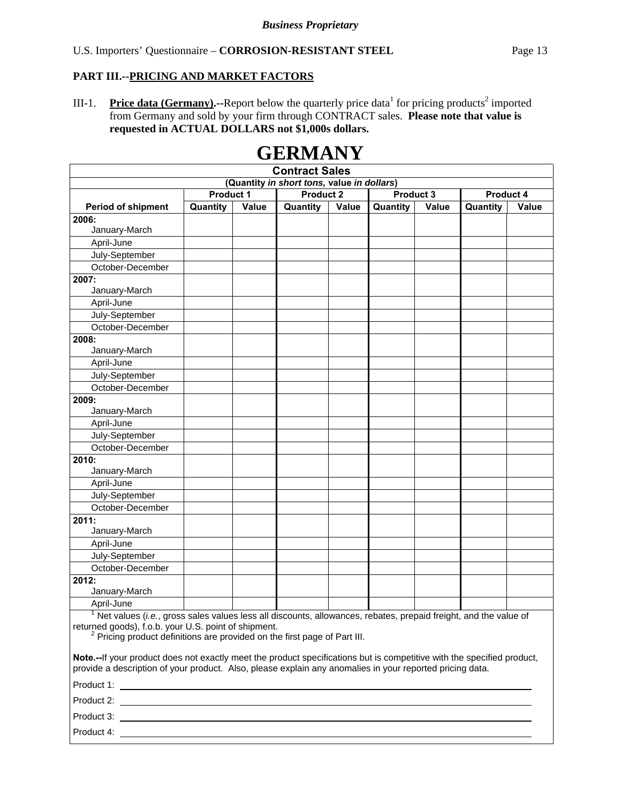III-1. **Price data (Germany).**--Report below the quarterly price data for pricing products<sup>2</sup> imported from Germany and sold by your firm through CONTRACT sales. **Please note that value is requested in ACTUAL DOLLARS not \$1,000s dollars.**

| <b>Contract Sales</b>                                                                                                                                                                                                                                               |                  |       |                  |       |           |       |           |       |
|---------------------------------------------------------------------------------------------------------------------------------------------------------------------------------------------------------------------------------------------------------------------|------------------|-------|------------------|-------|-----------|-------|-----------|-------|
| (Quantity in short tons, value in dollars)                                                                                                                                                                                                                          |                  |       |                  |       |           |       |           |       |
|                                                                                                                                                                                                                                                                     | <b>Product 1</b> |       | <b>Product 2</b> |       | Product 3 |       | Product 4 |       |
| <b>Period of shipment</b>                                                                                                                                                                                                                                           | Quantity         | Value | Quantity         | Value | Quantity  | Value | Quantity  | Value |
| 2006:                                                                                                                                                                                                                                                               |                  |       |                  |       |           |       |           |       |
| January-March                                                                                                                                                                                                                                                       |                  |       |                  |       |           |       |           |       |
| April-June                                                                                                                                                                                                                                                          |                  |       |                  |       |           |       |           |       |
| July-September                                                                                                                                                                                                                                                      |                  |       |                  |       |           |       |           |       |
| October-December                                                                                                                                                                                                                                                    |                  |       |                  |       |           |       |           |       |
| 2007:                                                                                                                                                                                                                                                               |                  |       |                  |       |           |       |           |       |
| January-March                                                                                                                                                                                                                                                       |                  |       |                  |       |           |       |           |       |
| April-June                                                                                                                                                                                                                                                          |                  |       |                  |       |           |       |           |       |
| July-September                                                                                                                                                                                                                                                      |                  |       |                  |       |           |       |           |       |
| October-December                                                                                                                                                                                                                                                    |                  |       |                  |       |           |       |           |       |
| 2008:                                                                                                                                                                                                                                                               |                  |       |                  |       |           |       |           |       |
| January-March                                                                                                                                                                                                                                                       |                  |       |                  |       |           |       |           |       |
| April-June                                                                                                                                                                                                                                                          |                  |       |                  |       |           |       |           |       |
| July-September                                                                                                                                                                                                                                                      |                  |       |                  |       |           |       |           |       |
| October-December                                                                                                                                                                                                                                                    |                  |       |                  |       |           |       |           |       |
| 2009:                                                                                                                                                                                                                                                               |                  |       |                  |       |           |       |           |       |
| January-March                                                                                                                                                                                                                                                       |                  |       |                  |       |           |       |           |       |
| April-June                                                                                                                                                                                                                                                          |                  |       |                  |       |           |       |           |       |
| July-September                                                                                                                                                                                                                                                      |                  |       |                  |       |           |       |           |       |
| October-December                                                                                                                                                                                                                                                    |                  |       |                  |       |           |       |           |       |
| 2010:                                                                                                                                                                                                                                                               |                  |       |                  |       |           |       |           |       |
| January-March                                                                                                                                                                                                                                                       |                  |       |                  |       |           |       |           |       |
| April-June                                                                                                                                                                                                                                                          |                  |       |                  |       |           |       |           |       |
| July-September                                                                                                                                                                                                                                                      |                  |       |                  |       |           |       |           |       |
| October-December                                                                                                                                                                                                                                                    |                  |       |                  |       |           |       |           |       |
| 2011:                                                                                                                                                                                                                                                               |                  |       |                  |       |           |       |           |       |
| January-March                                                                                                                                                                                                                                                       |                  |       |                  |       |           |       |           |       |
| April-June                                                                                                                                                                                                                                                          |                  |       |                  |       |           |       |           |       |
| July-September                                                                                                                                                                                                                                                      |                  |       |                  |       |           |       |           |       |
| October-December                                                                                                                                                                                                                                                    |                  |       |                  |       |           |       |           |       |
| 2012:                                                                                                                                                                                                                                                               |                  |       |                  |       |           |       |           |       |
| January-March                                                                                                                                                                                                                                                       |                  |       |                  |       |           |       |           |       |
| April-June                                                                                                                                                                                                                                                          |                  |       |                  |       |           |       |           |       |
| $1$ Net values (i.e., gross sales values less all discounts, allowances, rebates, prepaid freight, and the value of<br>returned goods), f.o.b. your U.S. point of shipment.<br><sup>2</sup> Pricing product definitions are provided on the first page of Part III. |                  |       |                  |       |           |       |           |       |
| Note.--If your product does not exactly meet the product specifications but is competitive with the specified product,<br>provide a description of your product. Also, please explain any anomalies in your reported pricing data.                                  |                  |       |                  |       |           |       |           |       |
|                                                                                                                                                                                                                                                                     |                  |       |                  |       |           |       |           |       |
|                                                                                                                                                                                                                                                                     |                  |       |                  |       |           |       |           |       |
| Product 3:                                                                                                                                                                                                                                                          |                  |       |                  |       |           |       |           |       |

# **GERMANY**

Product 4: \_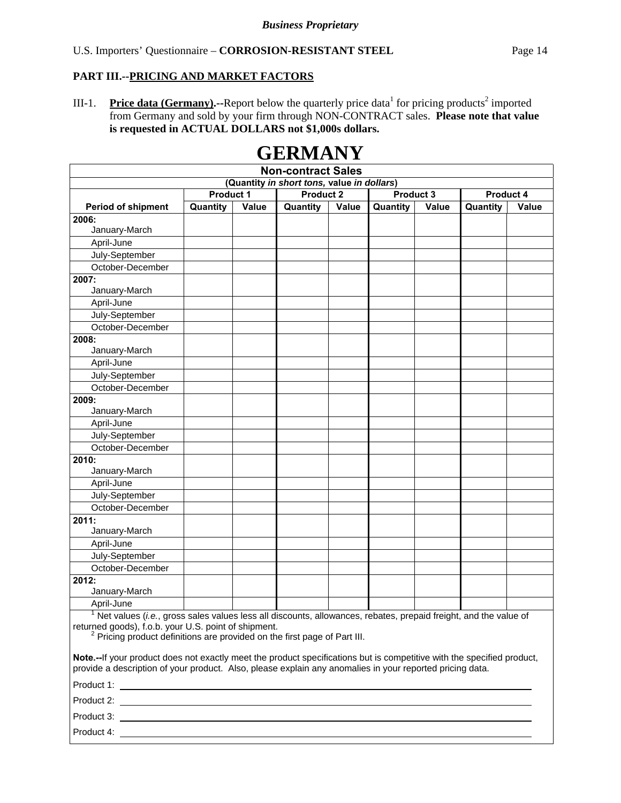III-1. **Price data (Germany).**--Report below the quarterly price data for pricing products<sup>2</sup> imported from Germany and sold by your firm through NON-CONTRACT sales. **Please note that value is requested in ACTUAL DOLLARS not \$1,000s dollars.**

| <b>Non-contract Sales</b>                                                                                                                                                                                                                                           |                  |       |                  |       |           |              |           |              |  |
|---------------------------------------------------------------------------------------------------------------------------------------------------------------------------------------------------------------------------------------------------------------------|------------------|-------|------------------|-------|-----------|--------------|-----------|--------------|--|
| (Quantity in short tons, value in dollars)                                                                                                                                                                                                                          |                  |       |                  |       |           |              |           |              |  |
|                                                                                                                                                                                                                                                                     | <b>Product 1</b> |       | <b>Product 2</b> |       | Product 3 |              | Product 4 |              |  |
| <b>Period of shipment</b>                                                                                                                                                                                                                                           | Quantity         | Value | Quantity         | Value | Quantity  | <b>Value</b> | Quantity  | <b>Value</b> |  |
| 2006:                                                                                                                                                                                                                                                               |                  |       |                  |       |           |              |           |              |  |
| January-March                                                                                                                                                                                                                                                       |                  |       |                  |       |           |              |           |              |  |
| April-June                                                                                                                                                                                                                                                          |                  |       |                  |       |           |              |           |              |  |
| July-September                                                                                                                                                                                                                                                      |                  |       |                  |       |           |              |           |              |  |
| October-December                                                                                                                                                                                                                                                    |                  |       |                  |       |           |              |           |              |  |
| 2007:<br>January-March                                                                                                                                                                                                                                              |                  |       |                  |       |           |              |           |              |  |
| April-June                                                                                                                                                                                                                                                          |                  |       |                  |       |           |              |           |              |  |
| July-September                                                                                                                                                                                                                                                      |                  |       |                  |       |           |              |           |              |  |
| October-December                                                                                                                                                                                                                                                    |                  |       |                  |       |           |              |           |              |  |
| 2008:                                                                                                                                                                                                                                                               |                  |       |                  |       |           |              |           |              |  |
| January-March                                                                                                                                                                                                                                                       |                  |       |                  |       |           |              |           |              |  |
| April-June                                                                                                                                                                                                                                                          |                  |       |                  |       |           |              |           |              |  |
| July-September                                                                                                                                                                                                                                                      |                  |       |                  |       |           |              |           |              |  |
| October-December                                                                                                                                                                                                                                                    |                  |       |                  |       |           |              |           |              |  |
| 2009:                                                                                                                                                                                                                                                               |                  |       |                  |       |           |              |           |              |  |
| January-March                                                                                                                                                                                                                                                       |                  |       |                  |       |           |              |           |              |  |
| April-June                                                                                                                                                                                                                                                          |                  |       |                  |       |           |              |           |              |  |
| July-September                                                                                                                                                                                                                                                      |                  |       |                  |       |           |              |           |              |  |
| October-December                                                                                                                                                                                                                                                    |                  |       |                  |       |           |              |           |              |  |
| 2010:                                                                                                                                                                                                                                                               |                  |       |                  |       |           |              |           |              |  |
| January-March                                                                                                                                                                                                                                                       |                  |       |                  |       |           |              |           |              |  |
| April-June                                                                                                                                                                                                                                                          |                  |       |                  |       |           |              |           |              |  |
| July-September                                                                                                                                                                                                                                                      |                  |       |                  |       |           |              |           |              |  |
| October-December                                                                                                                                                                                                                                                    |                  |       |                  |       |           |              |           |              |  |
| 2011:<br>January-March                                                                                                                                                                                                                                              |                  |       |                  |       |           |              |           |              |  |
| April-June                                                                                                                                                                                                                                                          |                  |       |                  |       |           |              |           |              |  |
| July-September                                                                                                                                                                                                                                                      |                  |       |                  |       |           |              |           |              |  |
| October-December                                                                                                                                                                                                                                                    |                  |       |                  |       |           |              |           |              |  |
| 2012:                                                                                                                                                                                                                                                               |                  |       |                  |       |           |              |           |              |  |
| January-March                                                                                                                                                                                                                                                       |                  |       |                  |       |           |              |           |              |  |
| April-June                                                                                                                                                                                                                                                          |                  |       |                  |       |           |              |           |              |  |
|                                                                                                                                                                                                                                                                     |                  |       |                  |       |           |              |           |              |  |
| $1$ Net values (i.e., gross sales values less all discounts, allowances, rebates, prepaid freight, and the value of<br>returned goods), f.o.b. your U.S. point of shipment.<br><sup>2</sup> Pricing product definitions are provided on the first page of Part III. |                  |       |                  |       |           |              |           |              |  |

# **GERMANY**

**Note.--**If your product does not exactly meet the product specifications but is competitive with the specified product, provide a description of your product. Also, please explain any anomalies in your reported pricing data. Product 1:

| Product 1: |  |
|------------|--|
| Product 2: |  |
| Product 3: |  |
| Product 4: |  |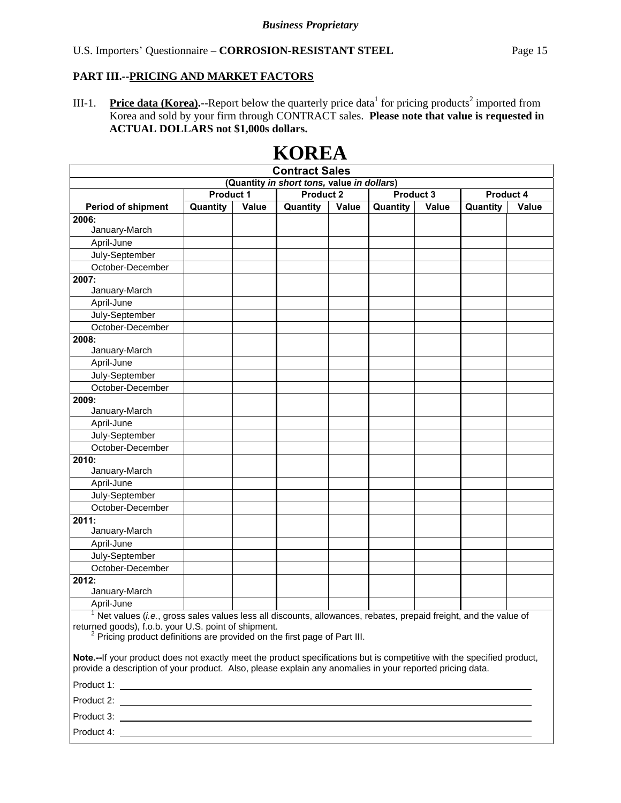Product 4:

III-1. **Price data (Korea).**--Report below the quarterly price data<sup>1</sup> for pricing products<sup>2</sup> imported from Korea and sold by your firm through CONTRACT sales. **Please note that value is requested in ACTUAL DOLLARS not \$1,000s dollars.**

|                                                                                                                                                                                                                                    |                                                                |       | <b>Contract Sales</b> |       |          |              |          |              |  |  |
|------------------------------------------------------------------------------------------------------------------------------------------------------------------------------------------------------------------------------------|----------------------------------------------------------------|-------|-----------------------|-------|----------|--------------|----------|--------------|--|--|
| (Quantity in short tons, value in dollars)                                                                                                                                                                                         |                                                                |       |                       |       |          |              |          |              |  |  |
|                                                                                                                                                                                                                                    | Product 1<br><b>Product 2</b><br>Product 3<br><b>Product 4</b> |       |                       |       |          |              |          |              |  |  |
| <b>Period of shipment</b>                                                                                                                                                                                                          | Quantity                                                       | Value | Quantity              | Value | Quantity | <b>Value</b> | Quantity | <b>Value</b> |  |  |
| 2006:                                                                                                                                                                                                                              |                                                                |       |                       |       |          |              |          |              |  |  |
| January-March                                                                                                                                                                                                                      |                                                                |       |                       |       |          |              |          |              |  |  |
| April-June                                                                                                                                                                                                                         |                                                                |       |                       |       |          |              |          |              |  |  |
| July-September                                                                                                                                                                                                                     |                                                                |       |                       |       |          |              |          |              |  |  |
| October-December                                                                                                                                                                                                                   |                                                                |       |                       |       |          |              |          |              |  |  |
| 2007:                                                                                                                                                                                                                              |                                                                |       |                       |       |          |              |          |              |  |  |
| January-March                                                                                                                                                                                                                      |                                                                |       |                       |       |          |              |          |              |  |  |
| April-June                                                                                                                                                                                                                         |                                                                |       |                       |       |          |              |          |              |  |  |
| July-September                                                                                                                                                                                                                     |                                                                |       |                       |       |          |              |          |              |  |  |
| October-December                                                                                                                                                                                                                   |                                                                |       |                       |       |          |              |          |              |  |  |
| 2008:                                                                                                                                                                                                                              |                                                                |       |                       |       |          |              |          |              |  |  |
| January-March                                                                                                                                                                                                                      |                                                                |       |                       |       |          |              |          |              |  |  |
| April-June                                                                                                                                                                                                                         |                                                                |       |                       |       |          |              |          |              |  |  |
| July-September                                                                                                                                                                                                                     |                                                                |       |                       |       |          |              |          |              |  |  |
| October-December                                                                                                                                                                                                                   |                                                                |       |                       |       |          |              |          |              |  |  |
| 2009:                                                                                                                                                                                                                              |                                                                |       |                       |       |          |              |          |              |  |  |
| January-March                                                                                                                                                                                                                      |                                                                |       |                       |       |          |              |          |              |  |  |
| April-June                                                                                                                                                                                                                         |                                                                |       |                       |       |          |              |          |              |  |  |
| July-September                                                                                                                                                                                                                     |                                                                |       |                       |       |          |              |          |              |  |  |
| October-December                                                                                                                                                                                                                   |                                                                |       |                       |       |          |              |          |              |  |  |
| 2010:                                                                                                                                                                                                                              |                                                                |       |                       |       |          |              |          |              |  |  |
| January-March                                                                                                                                                                                                                      |                                                                |       |                       |       |          |              |          |              |  |  |
| April-June                                                                                                                                                                                                                         |                                                                |       |                       |       |          |              |          |              |  |  |
| July-September                                                                                                                                                                                                                     |                                                                |       |                       |       |          |              |          |              |  |  |
| October-December                                                                                                                                                                                                                   |                                                                |       |                       |       |          |              |          |              |  |  |
| 2011:<br>January-March                                                                                                                                                                                                             |                                                                |       |                       |       |          |              |          |              |  |  |
| April-June                                                                                                                                                                                                                         |                                                                |       |                       |       |          |              |          |              |  |  |
| July-September                                                                                                                                                                                                                     |                                                                |       |                       |       |          |              |          |              |  |  |
| October-December                                                                                                                                                                                                                   |                                                                |       |                       |       |          |              |          |              |  |  |
| 2012:                                                                                                                                                                                                                              |                                                                |       |                       |       |          |              |          |              |  |  |
| January-March                                                                                                                                                                                                                      |                                                                |       |                       |       |          |              |          |              |  |  |
| April-June                                                                                                                                                                                                                         |                                                                |       |                       |       |          |              |          |              |  |  |
| $1$ Net values (i.e., gross sales values less all discounts, allowances, rebates, prepaid freight, and the value of                                                                                                                |                                                                |       |                       |       |          |              |          |              |  |  |
| returned goods), f.o.b. your U.S. point of shipment.                                                                                                                                                                               |                                                                |       |                       |       |          |              |          |              |  |  |
| <sup>2</sup> Pricing product definitions are provided on the first page of Part III.                                                                                                                                               |                                                                |       |                       |       |          |              |          |              |  |  |
| Note.--If your product does not exactly meet the product specifications but is competitive with the specified product,<br>provide a description of your product. Also, please explain any anomalies in your reported pricing data. |                                                                |       |                       |       |          |              |          |              |  |  |
|                                                                                                                                                                                                                                    |                                                                |       |                       |       |          |              |          |              |  |  |
|                                                                                                                                                                                                                                    |                                                                |       |                       |       |          |              |          |              |  |  |
|                                                                                                                                                                                                                                    |                                                                |       |                       |       |          |              |          |              |  |  |

# **KOREA**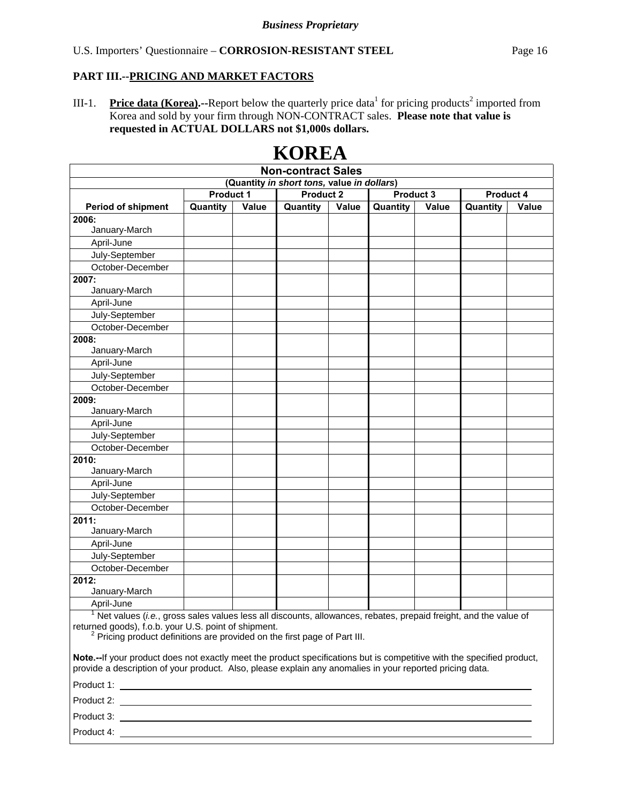III-1. **Price data (Korea).**--Report below the quarterly price data<sup>1</sup> for pricing products<sup>2</sup> imported from Korea and sold by your firm through NON-CONTRACT sales. **Please note that value is requested in ACTUAL DOLLARS not \$1,000s dollars.**

| <b>Non-contract Sales</b>                                                                                                                                                                                                          |          |       |          |       |          |       |          |       |
|------------------------------------------------------------------------------------------------------------------------------------------------------------------------------------------------------------------------------------|----------|-------|----------|-------|----------|-------|----------|-------|
| (Quantity in short tons, value in dollars)<br><b>Product 2</b><br>Product 1<br>Product 3<br>Product 4                                                                                                                              |          |       |          |       |          |       |          |       |
|                                                                                                                                                                                                                                    |          |       |          |       |          |       |          |       |
| <b>Period of shipment</b>                                                                                                                                                                                                          | Quantity | Value | Quantity | Value | Quantity | Value | Quantity | Value |
| 2006:<br>January-March                                                                                                                                                                                                             |          |       |          |       |          |       |          |       |
| April-June                                                                                                                                                                                                                         |          |       |          |       |          |       |          |       |
| July-September                                                                                                                                                                                                                     |          |       |          |       |          |       |          |       |
| October-December                                                                                                                                                                                                                   |          |       |          |       |          |       |          |       |
| 2007:                                                                                                                                                                                                                              |          |       |          |       |          |       |          |       |
| January-March                                                                                                                                                                                                                      |          |       |          |       |          |       |          |       |
| April-June                                                                                                                                                                                                                         |          |       |          |       |          |       |          |       |
| July-September                                                                                                                                                                                                                     |          |       |          |       |          |       |          |       |
| October-December                                                                                                                                                                                                                   |          |       |          |       |          |       |          |       |
| 2008:                                                                                                                                                                                                                              |          |       |          |       |          |       |          |       |
| January-March                                                                                                                                                                                                                      |          |       |          |       |          |       |          |       |
| April-June                                                                                                                                                                                                                         |          |       |          |       |          |       |          |       |
| July-September                                                                                                                                                                                                                     |          |       |          |       |          |       |          |       |
| October-December                                                                                                                                                                                                                   |          |       |          |       |          |       |          |       |
| 2009:                                                                                                                                                                                                                              |          |       |          |       |          |       |          |       |
| January-March                                                                                                                                                                                                                      |          |       |          |       |          |       |          |       |
| April-June                                                                                                                                                                                                                         |          |       |          |       |          |       |          |       |
| July-September                                                                                                                                                                                                                     |          |       |          |       |          |       |          |       |
| October-December                                                                                                                                                                                                                   |          |       |          |       |          |       |          |       |
| 2010:                                                                                                                                                                                                                              |          |       |          |       |          |       |          |       |
| January-March                                                                                                                                                                                                                      |          |       |          |       |          |       |          |       |
| April-June                                                                                                                                                                                                                         |          |       |          |       |          |       |          |       |
| July-September                                                                                                                                                                                                                     |          |       |          |       |          |       |          |       |
| October-December                                                                                                                                                                                                                   |          |       |          |       |          |       |          |       |
| 2011:                                                                                                                                                                                                                              |          |       |          |       |          |       |          |       |
| January-March                                                                                                                                                                                                                      |          |       |          |       |          |       |          |       |
| April-June                                                                                                                                                                                                                         |          |       |          |       |          |       |          |       |
| July-September<br>October-December                                                                                                                                                                                                 |          |       |          |       |          |       |          |       |
| 2012:                                                                                                                                                                                                                              |          |       |          |       |          |       |          |       |
| January-March                                                                                                                                                                                                                      |          |       |          |       |          |       |          |       |
| April-June                                                                                                                                                                                                                         |          |       |          |       |          |       |          |       |
| $1$ Net values (i.e., gross sales values less all discounts, allowances, rebates, prepaid freight, and the value of                                                                                                                |          |       |          |       |          |       |          |       |
| returned goods), f.o.b. your U.S. point of shipment.<br><sup>2</sup> Pricing product definitions are provided on the first page of Part III.                                                                                       |          |       |          |       |          |       |          |       |
| Note.--If your product does not exactly meet the product specifications but is competitive with the specified product,<br>provide a description of your product. Also, please explain any anomalies in your reported pricing data. |          |       |          |       |          |       |          |       |
|                                                                                                                                                                                                                                    |          |       |          |       |          |       |          |       |
|                                                                                                                                                                                                                                    |          |       |          |       |          |       |          |       |
|                                                                                                                                                                                                                                    |          |       |          |       |          |       |          |       |
|                                                                                                                                                                                                                                    |          |       |          |       |          |       |          |       |

# **KOREA**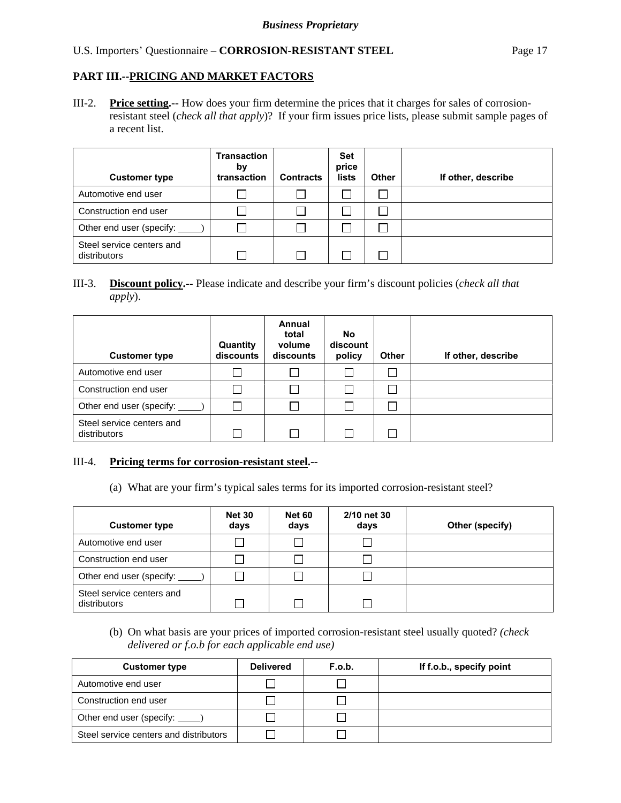III-2. **Price setting.--** How does your firm determine the prices that it charges for sales of corrosionresistant steel (*check all that apply*)? If your firm issues price lists, please submit sample pages of a recent list.

| <b>Customer type</b>                      | <b>Transaction</b><br>by<br>transaction | <b>Contracts</b> | <b>Set</b><br>price<br>lists | Other | If other, describe |
|-------------------------------------------|-----------------------------------------|------------------|------------------------------|-------|--------------------|
| Automotive end user                       |                                         |                  |                              |       |                    |
| Construction end user                     |                                         |                  |                              |       |                    |
| Other end user (specify: _____            |                                         |                  |                              |       |                    |
| Steel service centers and<br>distributors |                                         |                  |                              |       |                    |

#### III-3. **Discount policy.--** Please indicate and describe your firm's discount policies (*check all that apply*).

| <b>Customer type</b>                      | Quantity<br>discounts | Annual<br>total<br>volume<br>discounts | <b>No</b><br>discount<br>policy | <b>Other</b> | If other, describe |
|-------------------------------------------|-----------------------|----------------------------------------|---------------------------------|--------------|--------------------|
| Automotive end user                       |                       |                                        |                                 |              |                    |
| Construction end user                     |                       |                                        |                                 |              |                    |
| Other end user (specify:                  |                       |                                        |                                 |              |                    |
| Steel service centers and<br>distributors |                       |                                        |                                 |              |                    |

#### III-4. **Pricing terms for corrosion-resistant steel.--**

(a) What are your firm's typical sales terms for its imported corrosion-resistant steel?

| <b>Customer type</b>                      | <b>Net 30</b><br>days | <b>Net 60</b><br>days | 2/10 net 30<br>days | Other (specify) |
|-------------------------------------------|-----------------------|-----------------------|---------------------|-----------------|
| Automotive end user                       | $\mathcal{L}$         |                       |                     |                 |
| Construction end user                     |                       |                       |                     |                 |
| Other end user (specify: ______           |                       |                       |                     |                 |
| Steel service centers and<br>distributors |                       |                       |                     |                 |

(b) On what basis are your prices of imported corrosion-resistant steel usually quoted? *(check delivered or f.o.b for each applicable end use)*

| <b>Customer type</b>                   | <b>Delivered</b> | F.o.b. | If f.o.b., specify point |
|----------------------------------------|------------------|--------|--------------------------|
| Automotive end user                    |                  |        |                          |
| Construction end user                  |                  |        |                          |
| Other end user (specify: _____)        |                  |        |                          |
| Steel service centers and distributors |                  |        |                          |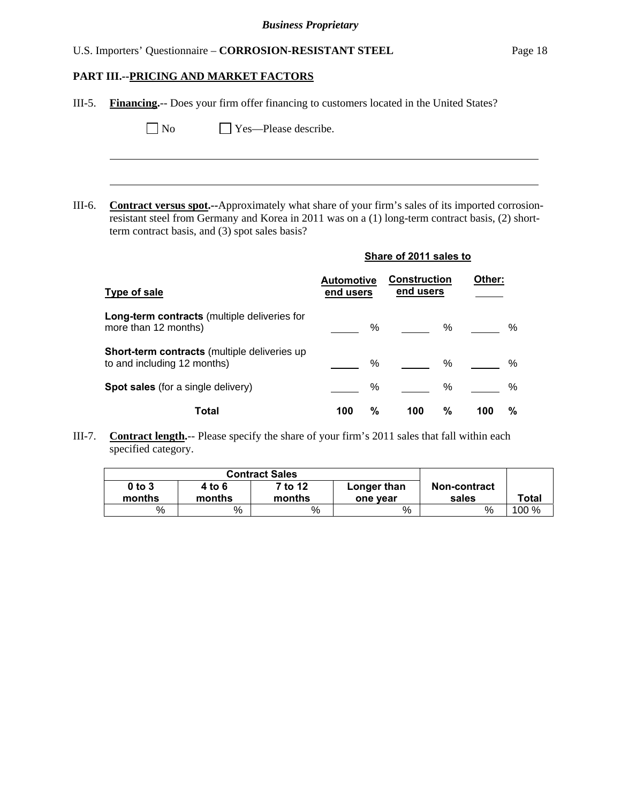# **PART III.--PRICING AND MARKET FACTORS**

| III-5. | <b>Financing.</b> -- Does your firm offer financing to customers located in the United States?                                                                                                                                                                |                                |      |                                  |      |        |   |
|--------|---------------------------------------------------------------------------------------------------------------------------------------------------------------------------------------------------------------------------------------------------------------|--------------------------------|------|----------------------------------|------|--------|---|
|        | Yes-Please describe.<br>No                                                                                                                                                                                                                                    |                                |      |                                  |      |        |   |
|        |                                                                                                                                                                                                                                                               |                                |      |                                  |      |        |   |
|        |                                                                                                                                                                                                                                                               |                                |      |                                  |      |        |   |
| III-6. | <b>Contract versus spot.</b> --Approximately what share of your firm's sales of its imported corrosion-<br>resistant steel from Germany and Korea in 2011 was on a (1) long-term contract basis, (2) short-<br>term contract basis, and (3) spot sales basis? |                                |      |                                  |      |        |   |
|        |                                                                                                                                                                                                                                                               |                                |      | Share of 2011 sales to           |      |        |   |
|        | <b>Type of sale</b>                                                                                                                                                                                                                                           | <b>Automotive</b><br>end users |      | <b>Construction</b><br>end users |      | Other: |   |
|        | Long-term contracts (multiple deliveries for<br>more than 12 months)                                                                                                                                                                                          |                                | %    |                                  | $\%$ |        | % |
|        | Short-term contracts (multiple deliveries up<br>to and including 12 months)                                                                                                                                                                                   |                                | $\%$ |                                  | $\%$ |        | % |
|        | Spot sales (for a single delivery)                                                                                                                                                                                                                            |                                | %    |                                  | %    |        | % |
|        | <b>Total</b>                                                                                                                                                                                                                                                  | 100                            | %    | 100                              | %    | 100    | % |

III-7. **Contract length.**-- Please specify the share of your firm's 2011 sales that fall within each specified category.

|                      | <b>Contract Sales</b> |                   |                         |                       |       |
|----------------------|-----------------------|-------------------|-------------------------|-----------------------|-------|
| $0$ to $3$<br>months | 4 to 6<br>months      | 7 to 12<br>months | Longer than<br>one year | Non-contract<br>sales | Total |
| %                    | %                     | $\%$              | %                       | %                     | 100 % |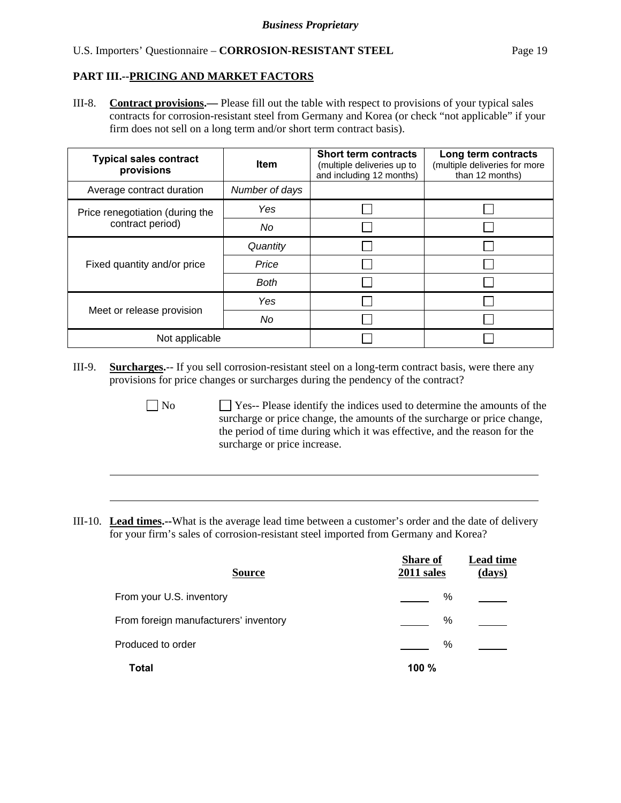$\overline{a}$ 

III-8. **Contract provisions.—** Please fill out the table with respect to provisions of your typical sales contracts for corrosion-resistant steel from Germany and Korea (or check "not applicable" if your firm does not sell on a long term and/or short term contract basis).

| <b>Typical sales contract</b><br>provisions | <b>Item</b>    | <b>Short term contracts</b><br>(multiple deliveries up to<br>and including 12 months) | Long term contracts<br>(multiple deliveries for more<br>than 12 months) |
|---------------------------------------------|----------------|---------------------------------------------------------------------------------------|-------------------------------------------------------------------------|
| Average contract duration                   | Number of days |                                                                                       |                                                                         |
| Price renegotiation (during the             | Yes            |                                                                                       |                                                                         |
| contract period)                            | No             |                                                                                       |                                                                         |
|                                             | Quantity       |                                                                                       |                                                                         |
| Fixed quantity and/or price                 | Price          |                                                                                       |                                                                         |
|                                             | <b>Both</b>    |                                                                                       |                                                                         |
|                                             | Yes            |                                                                                       |                                                                         |
| Meet or release provision                   | No             |                                                                                       |                                                                         |
| Not applicable                              |                |                                                                                       |                                                                         |

- III-9. **Surcharges.**-- If you sell corrosion-resistant steel on a long-term contract basis, were there any provisions for price changes or surcharges during the pendency of the contract?
	- No Ses-- Please identify the indices used to determine the amounts of the surcharge or price change, the amounts of the surcharge or price change, the period of time during which it was effective, and the reason for the surcharge or price increase.
- III-10. **Lead times.--**What is the average lead time between a customer's order and the date of delivery for your firm's sales of corrosion-resistant steel imported from Germany and Korea?

| <b>Source</b>                         | <b>Share of</b><br>2011 sales | <b>Lead time</b><br>(days) |
|---------------------------------------|-------------------------------|----------------------------|
| From your U.S. inventory              | %                             |                            |
| From foreign manufacturers' inventory | %                             |                            |
| Produced to order                     | %                             |                            |
| Total                                 | 100%                          |                            |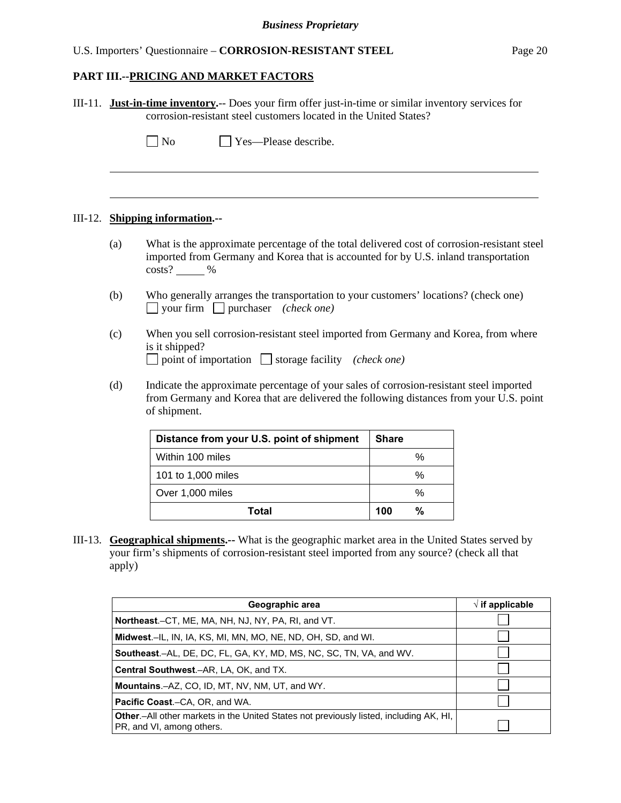#### **PART III.--PRICING AND MARKET FACTORS**

|  | III-11. Just-in-time inventory.-- Does your firm offer just-in-time or similar inventory services for<br>corrosion-resistant steel customers located in the United States?                              |                                                                                                                                                                                 |              |  |  |  |  |  |
|--|---------------------------------------------------------------------------------------------------------------------------------------------------------------------------------------------------------|---------------------------------------------------------------------------------------------------------------------------------------------------------------------------------|--------------|--|--|--|--|--|
|  |                                                                                                                                                                                                         | Yes—Please describe.<br>$\Box$ No                                                                                                                                               |              |  |  |  |  |  |
|  |                                                                                                                                                                                                         | III-12. Shipping information.--                                                                                                                                                 |              |  |  |  |  |  |
|  | What is the approximate percentage of the total delivered cost of corrosion-resistant steel<br>(a)<br>imported from Germany and Korea that is accounted for by U.S. inland transportation<br>$costs?$ % |                                                                                                                                                                                 |              |  |  |  |  |  |
|  | (b)<br>Who generally arranges the transportation to your customers' locations? (check one)<br>$\Box$ your firm $\Box$ purchaser <i>(check one)</i>                                                      |                                                                                                                                                                                 |              |  |  |  |  |  |
|  | (c)                                                                                                                                                                                                     | When you sell corrosion-resistant steel imported from Germany and Korea, from where<br>is it shipped?<br>$\Box$ point of importation $\Box$ storage facility <i>(check one)</i> |              |  |  |  |  |  |
|  | Indicate the approximate percentage of your sales of corrosion-resistant steel imported<br>from Germany and Korea that are delivered the following distances from your U.S. point                       |                                                                                                                                                                                 |              |  |  |  |  |  |
|  |                                                                                                                                                                                                         | Distance from your U.S. point of shipment                                                                                                                                       | <b>Share</b> |  |  |  |  |  |
|  |                                                                                                                                                                                                         | Within 100 miles                                                                                                                                                                | %            |  |  |  |  |  |
|  |                                                                                                                                                                                                         | 101 to 1,000 miles                                                                                                                                                              | $\%$         |  |  |  |  |  |
|  |                                                                                                                                                                                                         | Over 1,000 miles                                                                                                                                                                | %            |  |  |  |  |  |

III-13. **Geographical shipments.--** What is the geographic market area in the United States served by your firm's shipments of corrosion-resistant steel imported from any source? (check all that apply)

| Geographic area                                                                                                             | $\sqrt{ }$ if applicable |
|-----------------------------------------------------------------------------------------------------------------------------|--------------------------|
| <b>Northeast.</b> –CT, ME, MA, NH, NJ, NY, PA, RI, and VT.                                                                  |                          |
| <b>Midwest.</b> –IL, IN, IA, KS, MI, MN, MO, NE, ND, OH, SD, and WI.                                                        |                          |
| <b>Southeast.–AL, DE, DC, FL, GA, KY, MD, MS, NC, SC, TN, VA, and WV.</b>                                                   |                          |
| <b>Central Southwest.–AR, LA, OK, and TX.</b>                                                                               |                          |
| <b>Mountains.</b> - AZ, CO, ID, MT, NV, NM, UT, and WY.                                                                     |                          |
| <b>Pacific Coast.–CA, OR, and WA.</b>                                                                                       |                          |
| <b>Other</b> – All other markets in the United States not previously listed, including AK, HI,<br>PR, and VI, among others. |                          |

**Total 100 %**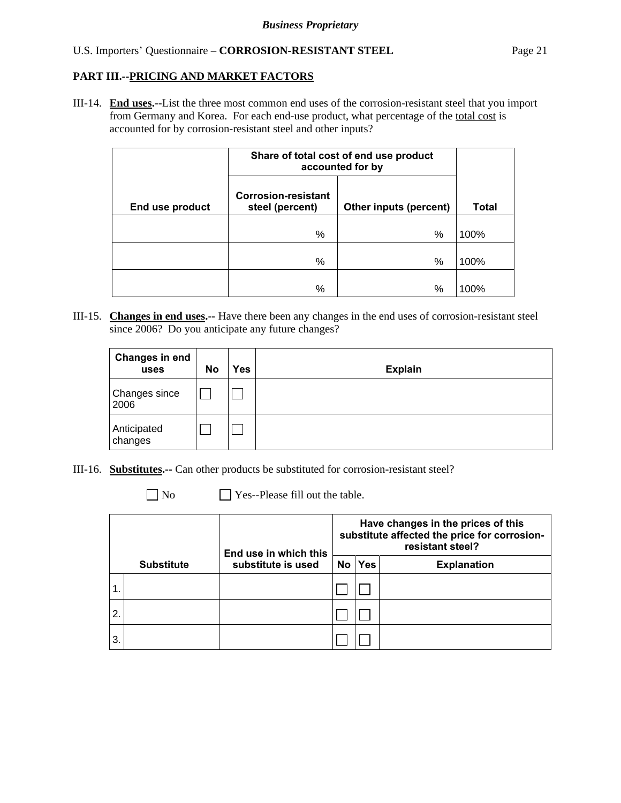III-14. **End uses.--**List the three most common end uses of the corrosion-resistant steel that you import from Germany and Korea. For each end-use product, what percentage of the total cost is accounted for by corrosion-resistant steel and other inputs?

|                 | Share of total cost of end use product<br>accounted for by |                        |              |
|-----------------|------------------------------------------------------------|------------------------|--------------|
| End use product | <b>Corrosion-resistant</b><br>steel (percent)              | Other inputs (percent) | <b>Total</b> |
|                 | %                                                          | %                      | 100%         |
|                 | %                                                          | %                      | 100%         |
|                 | %                                                          | %                      | 100%         |

III-15. **Changes in end uses.--** Have there been any changes in the end uses of corrosion-resistant steel since 2006? Do you anticipate any future changes?

| <b>Changes in end</b><br>uses | No | Yes | <b>Explain</b> |
|-------------------------------|----|-----|----------------|
| Changes since<br>2006         |    |     |                |
| Anticipated<br>changes        |    |     |                |

- III-16. **Substitutes.--** Can other products be substituted for corrosion-resistant steel?
	- No **No** Yes--Please fill out the table.

|               |                   | End use in which this | Have changes in the prices of this<br>substitute affected the price for corrosion-<br>resistant steel? |            |                    |  |  |
|---------------|-------------------|-----------------------|--------------------------------------------------------------------------------------------------------|------------|--------------------|--|--|
|               | <b>Substitute</b> | substitute is used    | No                                                                                                     | <b>Yes</b> | <b>Explanation</b> |  |  |
| $\mathbf 1$ . |                   |                       |                                                                                                        |            |                    |  |  |
| 2.            |                   |                       |                                                                                                        |            |                    |  |  |
| 3.            |                   |                       |                                                                                                        |            |                    |  |  |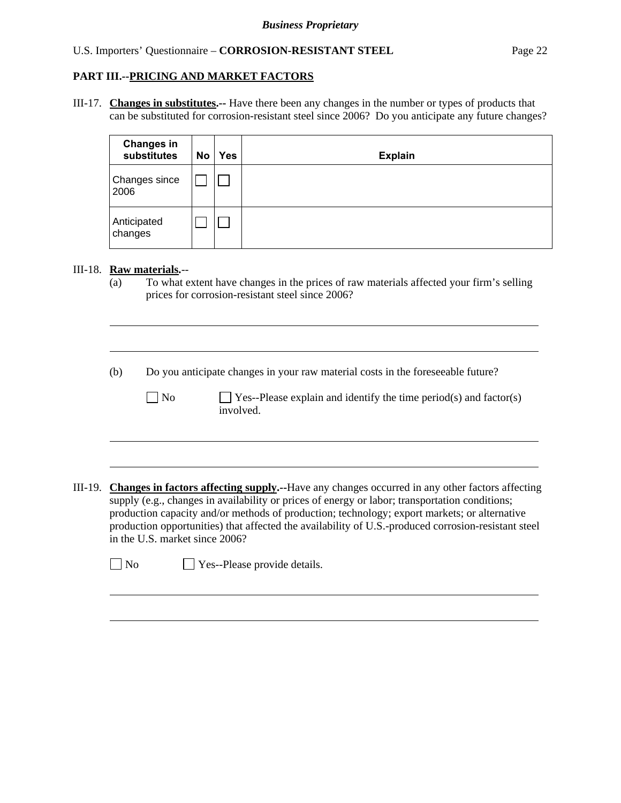III-17. **Changes in substitutes.--** Have there been any changes in the number or types of products that can be substituted for corrosion-resistant steel since 2006? Do you anticipate any future changes?

| <b>Changes in</b><br>substitutes | No | <b>Yes</b> | <b>Explain</b> |
|----------------------------------|----|------------|----------------|
| Changes since<br>2006            |    |            |                |
| Anticipated<br>changes           |    |            |                |

#### III-18. **Raw materials.**--

l

 $\overline{a}$ 

 $\overline{a}$ 

(a) To what extent have changes in the prices of raw materials affected your firm's selling prices for corrosion-resistant steel since 2006?

(b) Do you anticipate changes in your raw material costs in the foreseeable future?

 $\Box$  No  $\Box$  Yes--Please explain and identify the time period(s) and factor(s) involved.

III-19. **Changes in factors affecting supply.--**Have any changes occurred in any other factors affecting supply (e.g., changes in availability or prices of energy or labor; transportation conditions; production capacity and/or methods of production; technology; export markets; or alternative production opportunities) that affected the availability of U.S.-produced corrosion-resistant steel in the U.S. market since 2006?

 $\neg$  No  $\neg$  Yes--Please provide details.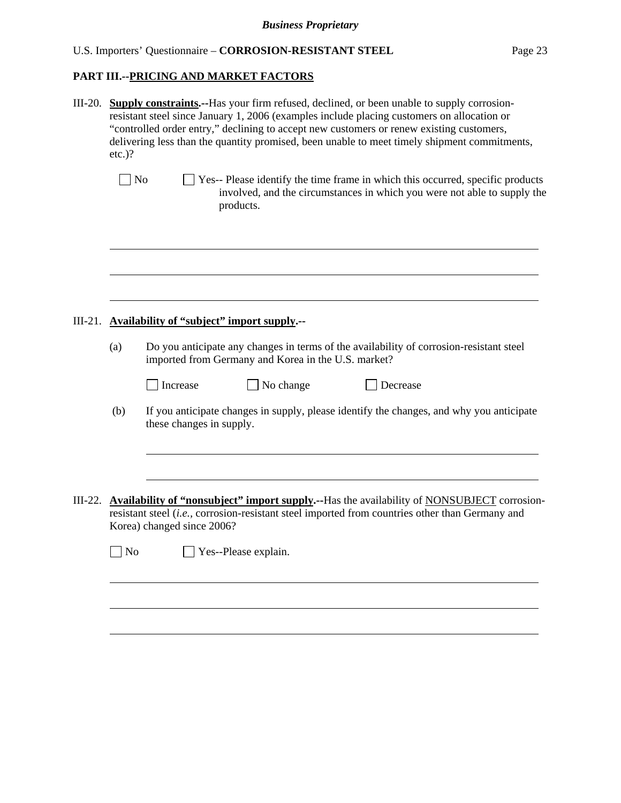| III-20.   | $etc.$ )?  | <b>Supply constraints.</b> --Has your firm refused, declined, or been unable to supply corrosion-<br>resistant steel since January 1, 2006 (examples include placing customers on allocation or<br>"controlled order entry," declining to accept new customers or renew existing customers,<br>delivering less than the quantity promised, been unable to meet timely shipment commitments, |  |  |  |  |
|-----------|------------|---------------------------------------------------------------------------------------------------------------------------------------------------------------------------------------------------------------------------------------------------------------------------------------------------------------------------------------------------------------------------------------------|--|--|--|--|
|           | $\vert$ No | Yes-- Please identify the time frame in which this occurred, specific products<br>involved, and the circumstances in which you were not able to supply the<br>products.                                                                                                                                                                                                                     |  |  |  |  |
|           |            |                                                                                                                                                                                                                                                                                                                                                                                             |  |  |  |  |
| $III-21.$ |            | <b>Availability of "subject" import supply.--</b>                                                                                                                                                                                                                                                                                                                                           |  |  |  |  |
|           | (a)        | Do you anticipate any changes in terms of the availability of corrosion-resistant steel<br>imported from Germany and Korea in the U.S. market?                                                                                                                                                                                                                                              |  |  |  |  |
|           |            | No change<br>Increase<br>Decrease                                                                                                                                                                                                                                                                                                                                                           |  |  |  |  |
|           | (b)        | If you anticipate changes in supply, please identify the changes, and why you anticipate<br>these changes in supply.                                                                                                                                                                                                                                                                        |  |  |  |  |
|           |            |                                                                                                                                                                                                                                                                                                                                                                                             |  |  |  |  |
| $III-22.$ |            | <b>Availability of "nonsubject" import supply.</b> --Has the availability of NONSUBJECT corrosion-<br>resistant steel (i.e., corrosion-resistant steel imported from countries other than Germany and<br>Korea) changed since 2006?                                                                                                                                                         |  |  |  |  |
|           | $\Box$ No  | $\Box$ Yes--Please explain.                                                                                                                                                                                                                                                                                                                                                                 |  |  |  |  |
|           |            |                                                                                                                                                                                                                                                                                                                                                                                             |  |  |  |  |
|           |            |                                                                                                                                                                                                                                                                                                                                                                                             |  |  |  |  |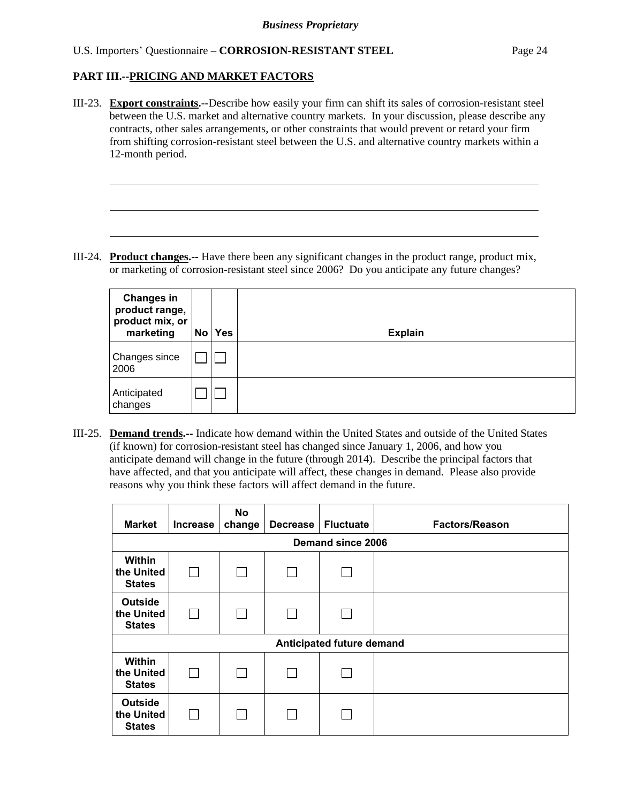l

III-23. **Export constraints.--**Describe how easily your firm can shift its sales of corrosion-resistant steel between the U.S. market and alternative country markets. In your discussion, please describe any contracts, other sales arrangements, or other constraints that would prevent or retard your firm from shifting corrosion-resistant steel between the U.S. and alternative country markets within a 12-month period.

III-24. **Product changes.--** Have there been any significant changes in the product range, product mix, or marketing of corrosion-resistant steel since 2006? Do you anticipate any future changes?

| <b>Changes in</b><br>product range,<br>product mix, or<br>marketing | No | <b>Yes</b> | <b>Explain</b> |
|---------------------------------------------------------------------|----|------------|----------------|
| Changes since<br>2006                                               |    |            |                |
| Anticipated<br>changes                                              |    |            |                |

III-25. **Demand trends.--** Indicate how demand within the United States and outside of the United States (if known) for corrosion-resistant steel has changed since January 1, 2006, and how you anticipate demand will change in the future (through 2014). Describe the principal factors that have affected, and that you anticipate will affect, these changes in demand. Please also provide reasons why you think these factors will affect demand in the future.

| <b>Market</b>                                 | <b>Increase</b> | No<br>change | <b>Decrease</b> | <b>Fluctuate</b> | <b>Factors/Reason</b> |  |  |  |  |
|-----------------------------------------------|-----------------|--------------|-----------------|------------------|-----------------------|--|--|--|--|
| Demand since 2006                             |                 |              |                 |                  |                       |  |  |  |  |
| Within<br>the United<br><b>States</b>         |                 |              |                 |                  |                       |  |  |  |  |
| <b>Outside</b><br>the United<br><b>States</b> |                 |              |                 |                  |                       |  |  |  |  |
| Anticipated future demand                     |                 |              |                 |                  |                       |  |  |  |  |
| <b>Within</b><br>the United<br><b>States</b>  |                 |              |                 |                  |                       |  |  |  |  |
| <b>Outside</b><br>the United<br><b>States</b> |                 |              |                 |                  |                       |  |  |  |  |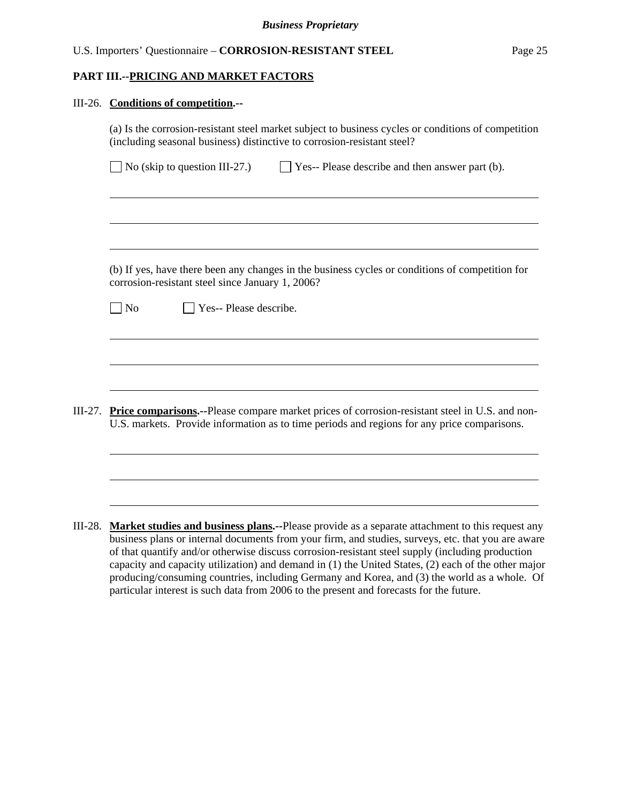#### **PART III.--PRICING AND MARKET FACTORS**

#### III-26. **Conditions of competition.--**

|         | $\Box$ No (skip to question III-27.)<br>$\Box$ Yes-- Please describe and then answer part (b).                                                      |
|---------|-----------------------------------------------------------------------------------------------------------------------------------------------------|
|         |                                                                                                                                                     |
|         |                                                                                                                                                     |
|         |                                                                                                                                                     |
|         |                                                                                                                                                     |
|         | (b) If yes, have there been any changes in the business cycles or conditions of competition for<br>corrosion-resistant steel since January 1, 2006? |
|         | Yes-- Please describe.<br>N <sub>o</sub>                                                                                                            |
|         |                                                                                                                                                     |
|         |                                                                                                                                                     |
|         |                                                                                                                                                     |
| III-27. | Price comparisons.--Please compare market prices of corrosion-resistant steel in U.S. and non-                                                      |
|         | U.S. markets. Provide information as to time periods and regions for any price comparisons.                                                         |
|         |                                                                                                                                                     |

III-28. **Market studies and business plans.--**Please provide as a separate attachment to this request any business plans or internal documents from your firm, and studies, surveys, etc. that you are aware of that quantify and/or otherwise discuss corrosion-resistant steel supply (including production capacity and capacity utilization) and demand in (1) the United States, (2) each of the other major producing/consuming countries, including Germany and Korea, and (3) the world as a whole. Of particular interest is such data from 2006 to the present and forecasts for the future.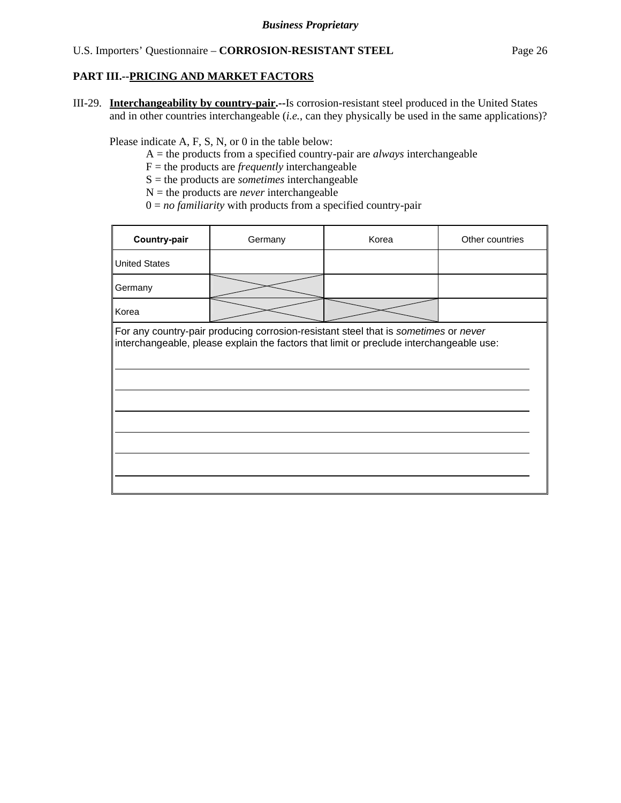III-29. **Interchangeability by country-pair.--**Is corrosion-resistant steel produced in the United States and in other countries interchangeable (*i.e.*, can they physically be used in the same applications)?

Please indicate A, F, S, N, or 0 in the table below:

- A = the products from a specified country-pair are *always* interchangeable
- F = the products are *frequently* interchangeable
- S = the products are *sometimes* interchangeable
- $N =$  the products are *never* interchangeable
- $0 = no$  *familiarity* with products from a specified country-pair

| Country-pair                                                                                                                                                                   | Germany | Korea | Other countries |  |  |  |  |
|--------------------------------------------------------------------------------------------------------------------------------------------------------------------------------|---------|-------|-----------------|--|--|--|--|
| <b>United States</b>                                                                                                                                                           |         |       |                 |  |  |  |  |
| Germany                                                                                                                                                                        |         |       |                 |  |  |  |  |
| Korea                                                                                                                                                                          |         |       |                 |  |  |  |  |
| For any country-pair producing corrosion-resistant steel that is sometimes or never<br>interchangeable, please explain the factors that limit or preclude interchangeable use: |         |       |                 |  |  |  |  |